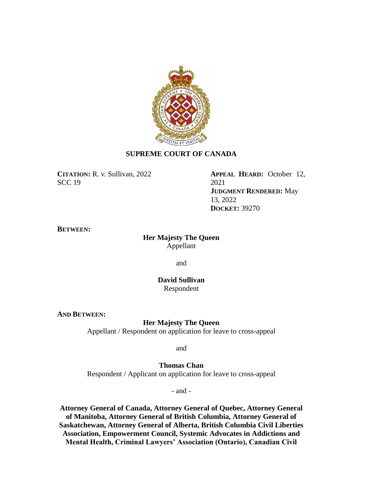

# **SUPREME COURT OF CANADA**

**CITATION:** R. *v.* Sullivan, 2022 SCC 19

**APPEAL HEARD:** October 12, 2021 **JUDGMENT RENDERED:** May 13, 2022 **DOCKET:** 39270

## **BETWEEN:**

# **Her Majesty The Queen** Appellant

and

**David Sullivan** Respondent

**AND BETWEEN:**

**Her Majesty The Queen**

Appellant / Respondent on application for leave to cross-appeal

and

**Thomas Chan** Respondent / Applicant on application for leave to cross-appeal

- and -

**Attorney General of Canada, Attorney General of Quebec, Attorney General of Manitoba, Attorney General of British Columbia, Attorney General of Saskatchewan, Attorney General of Alberta, British Columbia Civil Liberties Association, Empowerment Council, Systemic Advocates in Addictions and Mental Health, Criminal Lawyers' Association (Ontario), Canadian Civil**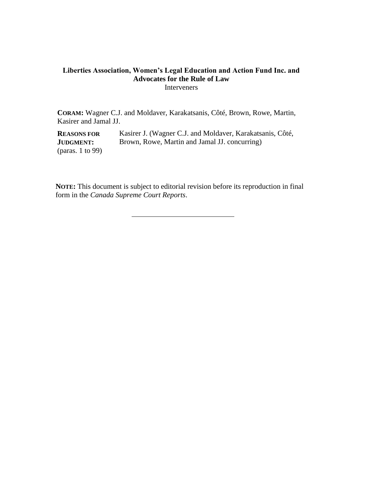# **Liberties Association, Women's Legal Education and Action Fund Inc. and Advocates for the Rule of Law** Interveners

**CORAM:** Wagner C.J. and Moldaver, Karakatsanis, Côté, Brown, Rowe, Martin, Kasirer and Jamal JJ.

**REASONS FOR JUDGMENT:** (paras. 1 to 99) Kasirer J. (Wagner C.J. and Moldaver, Karakatsanis, Côté, Brown, Rowe, Martin and Jamal JJ. concurring)

**NOTE:** This document is subject to editorial revision before its reproduction in final form in the *Canada Supreme Court Reports*.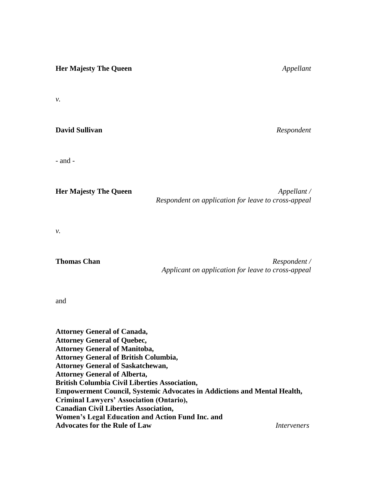**Her Majesty The Queen** *Appellant v.* **David Sullivan** *Respondent* - and - **Her Majesty The Queen** *Appellant /*

*v.*

**Thomas Chan** *Respondent / Applicant on application for leave to cross-appeal*

*Respondent on application for leave to cross-appeal*

and

**Attorney General of Canada, Attorney General of Quebec, Attorney General of Manitoba, Attorney General of British Columbia, Attorney General of Saskatchewan, Attorney General of Alberta, British Columbia Civil Liberties Association, Empowerment Council, Systemic Advocates in Addictions and Mental Health, Criminal Lawyers' Association (Ontario), Canadian Civil Liberties Association, Women's Legal Education and Action Fund Inc. and Advocates for the Rule of Law** *Interveners*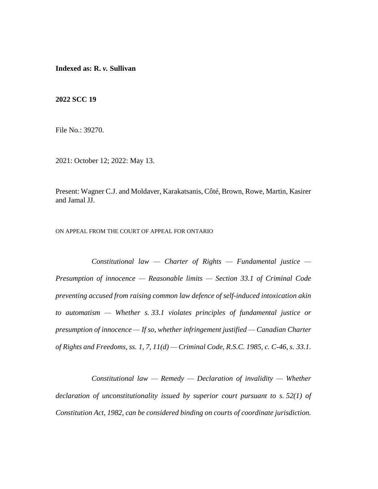**Indexed as: R.** *v.* **Sullivan**

**2022 SCC 19**

File No.: 39270.

2021: October 12; 2022: May 13.

Present: Wagner C.J. and Moldaver, Karakatsanis, Côté, Brown, Rowe, Martin, Kasirer and Jamal JJ.

ON APPEAL FROM THE COURT OF APPEAL FOR ONTARIO

*Constitutional law — Charter of Rights — Fundamental justice — Presumption of innocence — Reasonable limits — Section 33.1 of Criminal Code preventing accused from raising common law defence of self-induced intoxication akin to automatism — Whether s. 33.1 violates principles of fundamental justice or presumption of innocence — If so, whether infringement justified — Canadian Charter of Rights and Freedoms, ss. 1, 7, 11(d) — Criminal Code, R.S.C. 1985, c. C-46, s. 33.1.*

*Constitutional law — Remedy — Declaration of invalidity — Whether declaration of unconstitutionality issued by superior court pursuant to s. 52(1) of Constitution Act, 1982, can be considered binding on courts of coordinate jurisdiction.*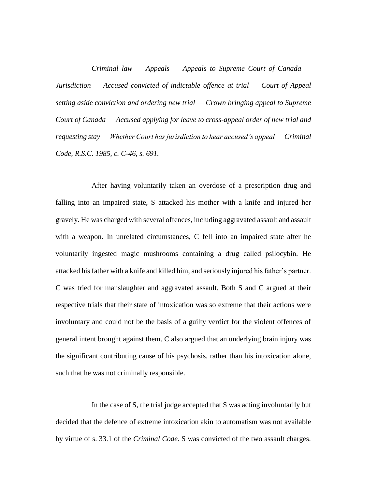*Criminal law — Appeals — Appeals to Supreme Court of Canada — Jurisdiction — Accused convicted of indictable offence at trial — Court of Appeal setting aside conviction and ordering new trial — Crown bringing appeal to Supreme Court of Canada — Accused applying for leave to cross-appeal order of new trial and requesting stay — Whether Court has jurisdiction to hear accused's appeal — Criminal Code, R.S.C. 1985, c. C-46, s. 691.*

After having voluntarily taken an overdose of a prescription drug and falling into an impaired state, S attacked his mother with a knife and injured her gravely. He was charged with several offences, including aggravated assault and assault with a weapon. In unrelated circumstances, C fell into an impaired state after he voluntarily ingested magic mushrooms containing a drug called psilocybin. He attacked his father with a knife and killed him, and seriously injured his father's partner. C was tried for manslaughter and aggravated assault. Both S and C argued at their respective trials that their state of intoxication was so extreme that their actions were involuntary and could not be the basis of a guilty verdict for the violent offences of general intent brought against them. C also argued that an underlying brain injury was the significant contributing cause of his psychosis, rather than his intoxication alone, such that he was not criminally responsible.

In the case of S, the trial judge accepted that S was acting involuntarily but decided that the defence of extreme intoxication akin to automatism was not available by virtue of s. 33.1 of the *Criminal Code*. S was convicted of the two assault charges.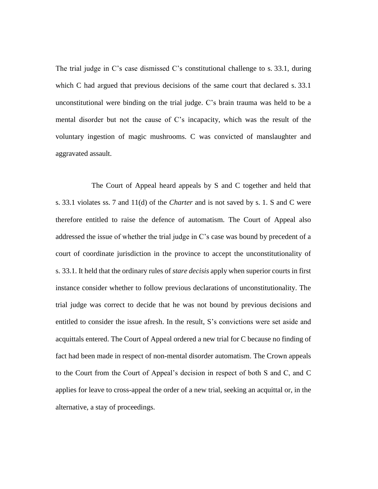The trial judge in C's case dismissed C's constitutional challenge to s. 33.1, during which C had argued that previous decisions of the same court that declared s. 33.1 unconstitutional were binding on the trial judge. C's brain trauma was held to be a mental disorder but not the cause of C's incapacity, which was the result of the voluntary ingestion of magic mushrooms. C was convicted of manslaughter and aggravated assault.

The Court of Appeal heard appeals by S and C together and held that s. 33.1 violates ss. 7 and 11(d) of the *Charter* and is not saved by s. 1. S and C were therefore entitled to raise the defence of automatism. The Court of Appeal also addressed the issue of whether the trial judge in C's case was bound by precedent of a court of coordinate jurisdiction in the province to accept the unconstitutionality of s. 33.1. It held that the ordinary rules of *stare decisis* apply when superior courts in first instance consider whether to follow previous declarations of unconstitutionality. The trial judge was correct to decide that he was not bound by previous decisions and entitled to consider the issue afresh. In the result, S's convictions were set aside and acquittals entered. The Court of Appeal ordered a new trial for C because no finding of fact had been made in respect of non-mental disorder automatism. The Crown appeals to the Court from the Court of Appeal's decision in respect of both S and C, and C applies for leave to cross-appeal the order of a new trial, seeking an acquittal or, in the alternative, a stay of proceedings.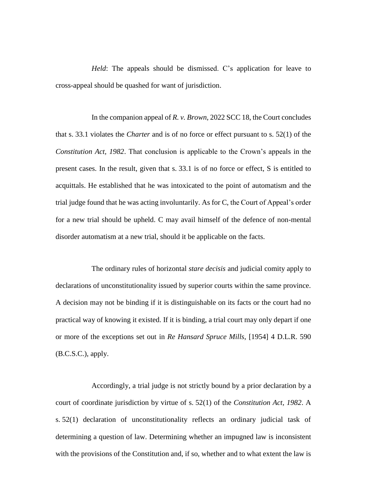*Held*: The appeals should be dismissed. C's application for leave to cross-appeal should be quashed for want of jurisdiction.

In the companion appeal of *R. v. Brown*, 2022 SCC 18, the Court concludes that s. 33.1 violates the *Charter* and is of no force or effect pursuant to s. 52(1) of the *Constitution Act, 1982*. That conclusion is applicable to the Crown's appeals in the present cases. In the result, given that s. 33.1 is of no force or effect, S is entitled to acquittals. He established that he was intoxicated to the point of automatism and the trial judge found that he was acting involuntarily. As for C, the Court of Appeal's order for a new trial should be upheld. C may avail himself of the defence of non-mental disorder automatism at a new trial, should it be applicable on the facts.

The ordinary rules of horizontal *stare decisis* and judicial comity apply to declarations of unconstitutionality issued by superior courts within the same province. A decision may not be binding if it is distinguishable on its facts or the court had no practical way of knowing it existed. If it is binding, a trial court may only depart if one or more of the exceptions set out in *Re Hansard Spruce Mills*, [1954] 4 D.L.R. 590 (B.C.S.C.), apply.

Accordingly, a trial judge is not strictly bound by a prior declaration by a court of coordinate jurisdiction by virtue of s. 52(1) of the *Constitution Act, 1982*. A s. 52(1) declaration of unconstitutionality reflects an ordinary judicial task of determining a question of law. Determining whether an impugned law is inconsistent with the provisions of the Constitution and, if so, whether and to what extent the law is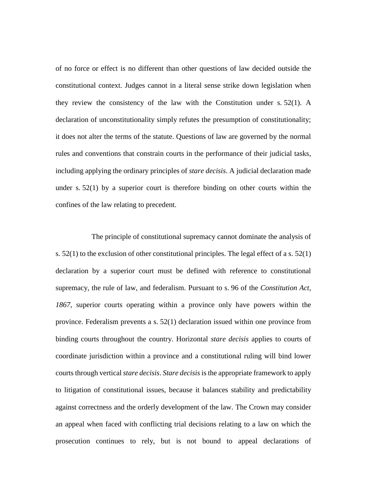of no force or effect is no different than other questions of law decided outside the constitutional context. Judges cannot in a literal sense strike down legislation when they review the consistency of the law with the Constitution under s. 52(1). A declaration of unconstitutionality simply refutes the presumption of constitutionality; it does not alter the terms of the statute. Questions of law are governed by the normal rules and conventions that constrain courts in the performance of their judicial tasks, including applying the ordinary principles of *stare decisis*. A judicial declaration made under s. 52(1) by a superior court is therefore binding on other courts within the confines of the law relating to precedent.

The principle of constitutional supremacy cannot dominate the analysis of s. 52(1) to the exclusion of other constitutional principles. The legal effect of a s. 52(1) declaration by a superior court must be defined with reference to constitutional supremacy, the rule of law, and federalism. Pursuant to s. 96 of the *Constitution Act, 1867*, superior courts operating within a province only have powers within the province. Federalism prevents a s. 52(1) declaration issued within one province from binding courts throughout the country. Horizontal *stare decisis* applies to courts of coordinate jurisdiction within a province and a constitutional ruling will bind lower courts through vertical *stare decisis*. *Stare decisis* is the appropriate framework to apply to litigation of constitutional issues, because it balances stability and predictability against correctness and the orderly development of the law. The Crown may consider an appeal when faced with conflicting trial decisions relating to a law on which the prosecution continues to rely, but is not bound to appeal declarations of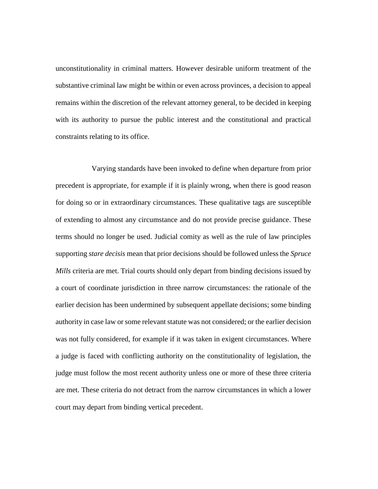unconstitutionality in criminal matters. However desirable uniform treatment of the substantive criminal law might be within or even across provinces, a decision to appeal remains within the discretion of the relevant attorney general, to be decided in keeping with its authority to pursue the public interest and the constitutional and practical constraints relating to its office.

Varying standards have been invoked to define when departure from prior precedent is appropriate, for example if it is plainly wrong, when there is good reason for doing so or in extraordinary circumstances. These qualitative tags are susceptible of extending to almost any circumstance and do not provide precise guidance. These terms should no longer be used. Judicial comity as well as the rule of law principles supporting *stare decisis* mean that prior decisions should be followed unless the *Spruce Mills* criteria are met. Trial courts should only depart from binding decisions issued by a court of coordinate jurisdiction in three narrow circumstances: the rationale of the earlier decision has been undermined by subsequent appellate decisions; some binding authority in case law or some relevant statute was not considered; or the earlier decision was not fully considered, for example if it was taken in exigent circumstances. Where a judge is faced with conflicting authority on the constitutionality of legislation, the judge must follow the most recent authority unless one or more of these three criteria are met. These criteria do not detract from the narrow circumstances in which a lower court may depart from binding vertical precedent.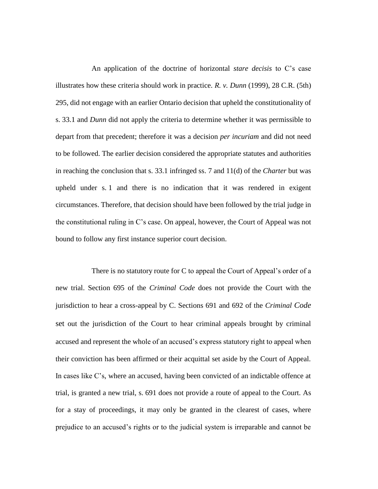An application of the doctrine of horizontal *stare decisis* to C's case illustrates how these criteria should work in practice. *R. v. Dunn* (1999), 28 C.R. (5th) 295, did not engage with an earlier Ontario decision that upheld the constitutionality of s. 33.1 and *Dunn* did not apply the criteria to determine whether it was permissible to depart from that precedent; therefore it was a decision *per incuriam* and did not need to be followed. The earlier decision considered the appropriate statutes and authorities in reaching the conclusion that s. 33.1 infringed ss. 7 and 11(d) of the *Charter* but was upheld under s. 1 and there is no indication that it was rendered in exigent circumstances. Therefore, that decision should have been followed by the trial judge in the constitutional ruling in C's case. On appeal, however, the Court of Appeal was not bound to follow any first instance superior court decision.

There is no statutory route for C to appeal the Court of Appeal's order of a new trial. Section 695 of the *Criminal Code* does not provide the Court with the jurisdiction to hear a cross-appeal by C. Sections 691 and 692 of the *Criminal Code* set out the jurisdiction of the Court to hear criminal appeals brought by criminal accused and represent the whole of an accused's express statutory right to appeal when their conviction has been affirmed or their acquittal set aside by the Court of Appeal. In cases like C's, where an accused, having been convicted of an indictable offence at trial, is granted a new trial, s. 691 does not provide a route of appeal to the Court. As for a stay of proceedings, it may only be granted in the clearest of cases, where prejudice to an accused's rights or to the judicial system is irreparable and cannot be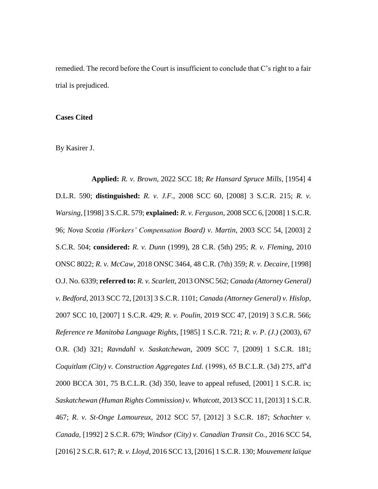remedied. The record before the Court is insufficient to conclude that C's right to a fair trial is prejudiced.

### **Cases Cited**

By Kasirer J.

**Applied:** *R. v. Brown*, 2022 SCC 18; *Re Hansard Spruce Mills*, [1954] 4 D.L.R. 590; **distinguished:** *R. v. J.F.*, 2008 SCC 60, [2008] 3 S.C.R. 215; *R. v. Warsing*, [1998] 3 S.C.R. 579; **explained:** *R. v. Ferguson*, 2008 SCC 6, [2008] 1 S.C.R. 96; *Nova Scotia (Workers' Compensation Board) v. Martin*, 2003 SCC 54, [2003] 2 S.C.R. 504; **considered:** *R. v. Dunn* (1999), 28 C.R. (5th) 295; *R. v. Fleming*, 2010 ONSC 8022; *R. v. McCaw*, 2018 ONSC 3464, 48 C.R. (7th) 359; *R. v. Decaire*, [1998] O.J. No. 6339; **referred to:** *R. v. Scarlett*, 2013 ONSC 562; *Canada (Attorney General) v. Bedford*, 2013 SCC 72, [2013] 3 S.C.R. 1101; *Canada (Attorney General) v. Hislop*, 2007 SCC 10, [2007] 1 S.C.R. 429; *R. v. Poulin*, 2019 SCC 47, [2019] 3 S.C.R. 566; *Reference re Manitoba Language Rights*, [1985] 1 S.C.R. 721; *R. v. P*. *(J.)* (2003), 67 O.R. (3d) 321; *Ravndahl v. Saskatchewan*, 2009 SCC 7, [2009] 1 S.C.R. 181; *Coquitlam (City) v. Construction Aggregates Ltd.* (1998), 65 B.C.L.R. (3d) 275, aff'd 2000 BCCA 301, 75 B.C.L.R. (3d) 350, leave to appeal refused, [2001] 1 S.C.R. ix; *Saskatchewan (Human Rights Commission) v. Whatcott*, 2013 SCC 11, [2013] 1 S.C.R. 467; *R. v. St-Onge Lamoureux*, 2012 SCC 57, [2012] 3 S.C.R. 187; *Schachter v. Canada*, [1992] 2 S.C.R. 679; *Windsor (City) v. Canadian Transit Co.*, 2016 SCC 54, [2016] 2 S.C.R. 617; *R. v. Lloyd*, 2016 SCC 13, [2016] 1 S.C.R. 130; *Mouvement laïque*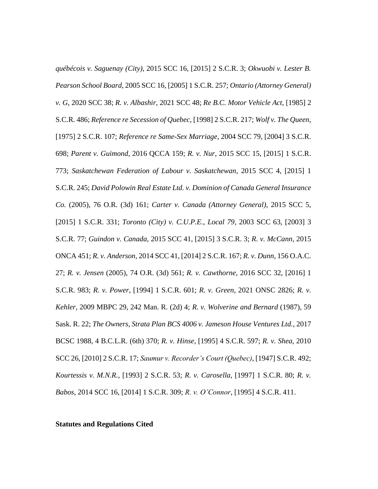*québécois v. Saguenay (City)*, 2015 SCC 16, [2015] 2 S.C.R. 3; *Okwuobi v. Lester B. Pearson School Board*, 2005 SCC 16, [2005] 1 S.C.R. 257; *Ontario (Attorney General) v. G*, 2020 SCC 38; *R. v. Albashir*, 2021 SCC 48; *Re B.C. Motor Vehicle Act*, [1985] 2 S.C.R. 486; *Reference re Secession of Quebec*, [1998] 2 S.C.R. 217; *Wolf v. The Queen*, [1975] 2 S.C.R. 107; *Reference re Same-Sex Marriage*, 2004 SCC 79, [2004] 3 S.C.R. 698; *Parent v. Guimond*, 2016 QCCA 159; *R. v. Nur*, 2015 SCC 15, [2015] 1 S.C.R. 773; *Saskatchewan Federation of Labour v. Saskatchewan*, 2015 SCC 4, [2015] 1 S.C.R. 245; *David Polowin Real Estate Ltd. v. Dominion of Canada General Insurance Co.* (2005), 76 O.R. (3d) 161; *Carter v. Canada (Attorney General)*, 2015 SCC 5, [2015] 1 S.C.R. 331; *Toronto (City) v. C.U.P.E., Local 79*, 2003 SCC 63, [2003] 3 S.C.R. 77; *Guindon v. Canada*, 2015 SCC 41, [2015] 3 S.C.R. 3; *R. v. McCann*, 2015 ONCA 451; *R. v. Anderson*, 2014 SCC 41, [2014] 2 S.C.R. 167; *R. v. Dunn*, 156 O.A.C. 27; *R. v. Jensen* (2005), 74 O.R. (3d) 561; *R. v. Cawthorne*, 2016 SCC 32, [2016] 1 S.C.R. 983; *R. v. Power*, [1994] 1 S.C.R. 601; *R. v. Green*, 2021 ONSC 2826; *R. v. Kehler*, 2009 MBPC 29, 242 Man. R. (2d) 4; *R. v. Wolverine and Bernard* (1987), 59 Sask. R. 22; *The Owners, Strata Plan BCS 4006 v. Jameson House Ventures Ltd.*, 2017 BCSC 1988, 4 B.C.L.R. (6th) 370; *R. v. Hinse*, [1995] 4 S.C.R. 597; *R. v. Shea*, 2010 SCC 26, [2010] 2 S.C.R. 17; *Saumur v. Recorder's Court (Quebec)*, [1947] S.C.R. 492; *Kourtessis v. M.N.R.*, [1993] 2 S.C.R. 53; *R. v. Carosella*, [1997] 1 S.C.R. 80; *R. v. Babos*, 2014 SCC 16, [2014] 1 S.C.R. 309; *R. v. O'Connor*, [1995] 4 S.C.R. 411.

### **Statutes and Regulations Cited**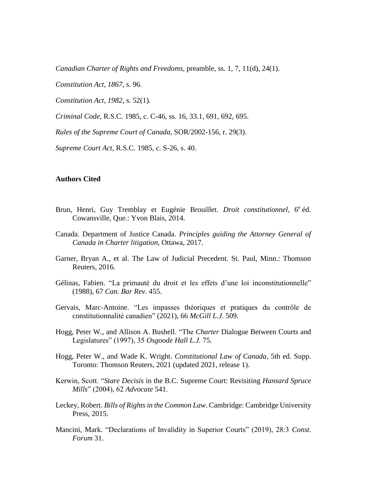*Canadian Charter of Rights and Freedoms*, preamble, ss. 1, 7, 11(d), 24(1).

*Constitution Act, 1867*, s. 96.

*Constitution Act, 1982*, s. 52(1).

*Criminal Code*, R.S.C. 1985, c. C-46, ss. 16, 33.1, 691, 692, 695.

*Rules of the Supreme Court of Canada*, SOR/2002-156, r. 29(3).

*Supreme Court Act*, R.S.C. 1985, c. S-26, s. 40.

#### **Authors Cited**

- Brun, Henri, Guy Tremblay et Eugénie Brouillet. *Droit constitutionnel*, 6<sup>e</sup> éd. Cowansville, Que.: Yvon Blais, 2014.
- Canada. Department of Justice Canada. *Principles guiding the Attorney General of Canada in Charter litigation*, Ottawa, 2017.
- Garner, Bryan A., et al. The Law of Judicial Precedent. St. Paul, Minn.: Thomson Reuters, 2016.
- Gélinas, Fabien. "La primauté du droit et les effets d'une loi inconstitutionnelle" (1988), 67 *Can. Bar Rev.* 455.
- Gervais, Marc-Antoine. "Les impasses théoriques et pratiques du contrôle de constitutionnalité canadien" (2021), 66 *McGill L.J.* 509.
- Hogg, Peter W., and Allison A. Bushell. "The *Charter* Dialogue Between Courts and Legislatures" (1997), 35 *Osgoode Hall L.J.* 75.
- Hogg, Peter W., and Wade K. Wright. *Constitutional Law of Canada*, 5th ed. Supp. Toronto: Thomson Reuters, 2021 (updated 2021, release 1).
- Kerwin, Scott. "*Stare Decisis* in the B.C. Supreme Court: Revisiting *Hansard Spruce Mills*" (2004), 62 *Advocate* 541.
- Leckey, Robert. *Bills of Rights in the Common Law*. Cambridge: Cambridge University Press, 2015.
- Mancini, Mark. "Declarations of Invalidity in Superior Courts" (2019), 28:3 *Const. Forum* 31.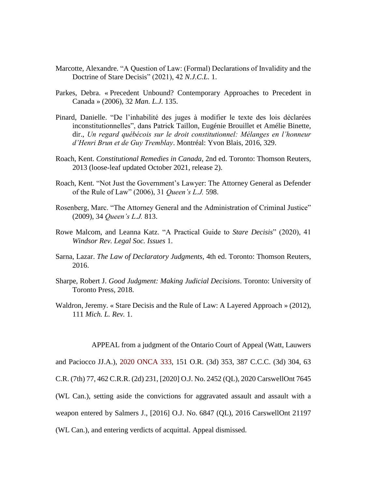- Marcotte, Alexandre. "A Question of Law: (Formal) Declarations of Invalidity and the Doctrine of Stare Decisis" (2021), 42 *N.J.C.L.* 1.
- Parkes, Debra. « Precedent Unbound? Contemporary Approaches to Precedent in Canada » (2006), 32 *Man. L.J.* 135.
- Pinard, Danielle. "De l'inhabilité des juges à modifier le texte des lois déclarées inconstitutionnelles", dans Patrick Taillon, Eugénie Brouillet et Amélie Binette, dir., *Un regard québécois sur le droit constitutionnel: Mélanges en l'honneur d'Henri Brun et de Guy Tremblay*. Montréal: Yvon Blais, 2016, 329.
- Roach, Kent. *Constitutional Remedies in Canada*, 2nd ed. Toronto: Thomson Reuters, 2013 (loose-leaf updated October 2021, release 2).
- Roach, Kent. "Not Just the Government's Lawyer: The Attorney General as Defender of the Rule of Law" (2006), 31 *Queen's L.J.* 598.
- Rosenberg, Marc. "The Attorney General and the Administration of Criminal Justice" (2009), 34 *Queen's L.J.* 813.
- Rowe Malcom, and Leanna Katz. "A Practical Guide to *Stare Decisis*" (2020), 41 *Windsor Rev. Legal Soc. Issues* 1.
- Sarna, Lazar. *The Law of Declaratory Judgments*, 4th ed. Toronto: Thomson Reuters, 2016.
- Sharpe, Robert J. *Good Judgment: Making Judicial Decisions*. Toronto: University of Toronto Press, 2018.
- Waldron, Jeremy. « Stare Decisis and the Rule of Law: A Layered Approach » (2012), 111 *Mich. L. Rev.* 1.

APPEAL from a judgment of the Ontario Court of Appeal (Watt, Lauwers

and Paciocco JJ.A.), [2020 ONCA 333,](https://www.ontariocourts.ca/decisions/2020/2020ONCA0333.htm) 151 O.R. (3d) 353, 387 C.C.C. (3d) 304, 63

C.R. (7th) 77, 462 C.R.R. (2d) 231, [2020] O.J. No. 2452 (QL), 2020 CarswellOnt 7645

(WL Can.), setting aside the convictions for aggravated assault and assault with a

weapon entered by Salmers J., [2016] O.J. No. 6847 (QL), 2016 CarswellOnt 21197

(WL Can.), and entering verdicts of acquittal. Appeal dismissed.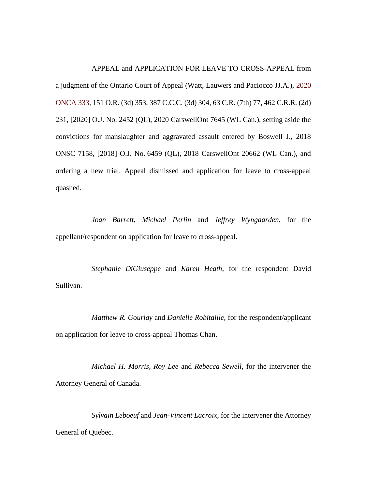APPEAL and APPLICATION FOR LEAVE TO CROSS-APPEAL from

a judgment of the Ontario Court of Appeal (Watt, Lauwers and Paciocco JJ.A.), [2020](https://www.ontariocourts.ca/decisions/2020/2020ONCA0333.htm)  [ONCA 333,](https://www.ontariocourts.ca/decisions/2020/2020ONCA0333.htm) 151 O.R. (3d) 353, 387 C.C.C. (3d) 304, 63 C.R. (7th) 77, 462 C.R.R. (2d) 231, [2020] O.J. No. 2452 (QL), 2020 CarswellOnt 7645 (WL Can.), setting aside the convictions for manslaughter and aggravated assault entered by Boswell J., 2018 ONSC 7158, [2018] O.J. No. 6459 (QL), 2018 CarswellOnt 20662 (WL Can.), and ordering a new trial. Appeal dismissed and application for leave to cross-appeal quashed.

*Joan Barrett*, *Michael Perlin* and *Jeffrey Wyngaarden*, for the appellant/respondent on application for leave to cross-appeal.

*Stephanie DiGiuseppe* and *Karen Heath*, for the respondent David Sullivan.

*Matthew R. Gourlay* and *Danielle Robitaille*, for the respondent/applicant on application for leave to cross-appeal Thomas Chan.

*Michael H. Morris*, *Roy Lee* and *Rebecca Sewell*, for the intervener the Attorney General of Canada.

*Sylvain Leboeuf* and *Jean-Vincent Lacroix*, for the intervener the Attorney General of Quebec.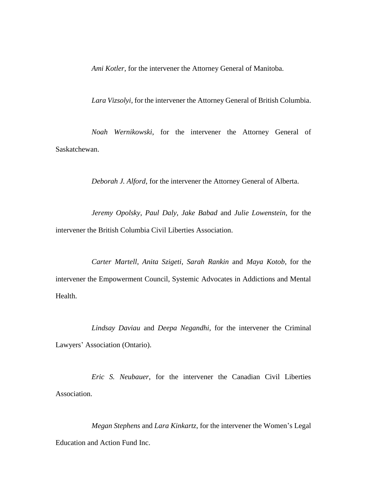*Ami Kotler*, for the intervener the Attorney General of Manitoba.

*Lara Vizsolyi*, for the intervener the Attorney General of British Columbia.

*Noah Wernikowski*, for the intervener the Attorney General of Saskatchewan.

*Deborah J. Alford*, for the intervener the Attorney General of Alberta.

*Jeremy Opolsky*, *Paul Daly*, *Jake Babad* and *Julie Lowenstein*, for the intervener the British Columbia Civil Liberties Association.

*Carter Martell*, *Anita Szigeti*, *Sarah Rankin* and *Maya Kotob*, for the intervener the Empowerment Council, Systemic Advocates in Addictions and Mental Health.

*Lindsay Daviau* and *Deepa Negandhi*, for the intervener the Criminal Lawyers' Association (Ontario).

*Eric S. Neubauer*, for the intervener the Canadian Civil Liberties Association.

*Megan Stephens* and *Lara Kinkartz*, for the intervener the Women's Legal Education and Action Fund Inc.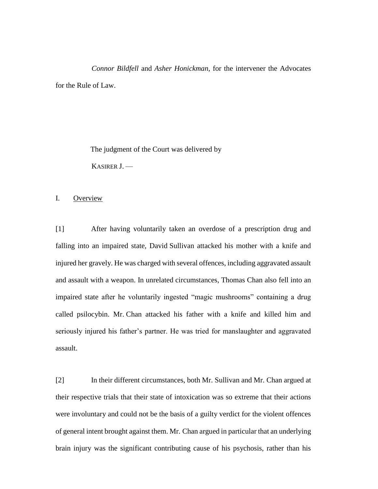*Connor Bildfell* and *Asher Honickman*, for the intervener the Advocates for the Rule of Law.

> The judgment of the Court was delivered by KASIRER J. —

I. Overview

[1] After having voluntarily taken an overdose of a prescription drug and falling into an impaired state, David Sullivan attacked his mother with a knife and injured her gravely. He was charged with several offences, including aggravated assault and assault with a weapon. In unrelated circumstances, Thomas Chan also fell into an impaired state after he voluntarily ingested "magic mushrooms" containing a drug called psilocybin. Mr. Chan attacked his father with a knife and killed him and seriously injured his father's partner. He was tried for manslaughter and aggravated assault.

[2] In their different circumstances, both Mr. Sullivan and Mr. Chan argued at their respective trials that their state of intoxication was so extreme that their actions were involuntary and could not be the basis of a guilty verdict for the violent offences of general intent brought against them. Mr. Chan argued in particular that an underlying brain injury was the significant contributing cause of his psychosis, rather than his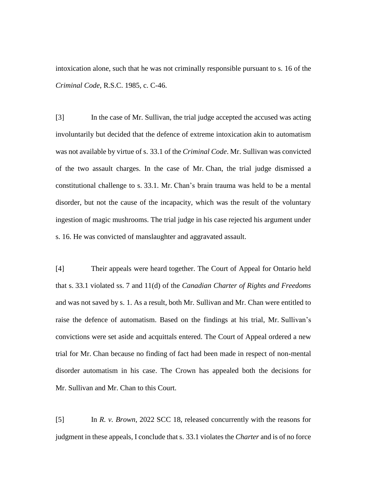intoxication alone, such that he was not criminally responsible pursuant to s. 16 of the *Criminal Code*, R.S.C. 1985, c. C-46.

[3] In the case of Mr. Sullivan, the trial judge accepted the accused was acting involuntarily but decided that the defence of extreme intoxication akin to automatism was not available by virtue of s. 33.1 of the *Criminal Code*. Mr. Sullivan was convicted of the two assault charges. In the case of Mr. Chan, the trial judge dismissed a constitutional challenge to s. 33.1. Mr. Chan's brain trauma was held to be a mental disorder, but not the cause of the incapacity, which was the result of the voluntary ingestion of magic mushrooms. The trial judge in his case rejected his argument under s. 16. He was convicted of manslaughter and aggravated assault.

[4] Their appeals were heard together. The Court of Appeal for Ontario held that s. 33.1 violated ss. 7 and 11(d) of the *Canadian Charter of Rights and Freedoms* and was not saved by s. 1. As a result, both Mr. Sullivan and Mr. Chan were entitled to raise the defence of automatism. Based on the findings at his trial, Mr. Sullivan's convictions were set aside and acquittals entered. The Court of Appeal ordered a new trial for Mr. Chan because no finding of fact had been made in respect of non-mental disorder automatism in his case. The Crown has appealed both the decisions for Mr. Sullivan and Mr. Chan to this Court.

[5] In *R. v. Brown*, 2022 SCC 18, released concurrently with the reasons for judgment in these appeals, I conclude that s. 33.1 violates the *Charter* and is of no force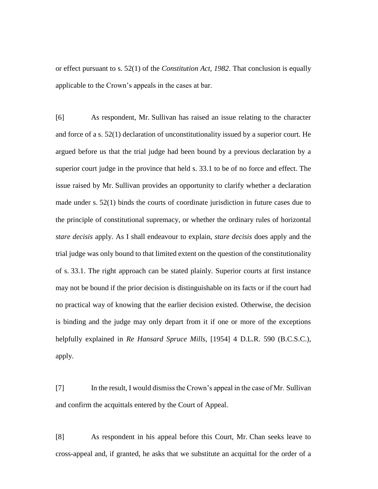or effect pursuant to s. 52(1) of the *Constitution Act, 1982*. That conclusion is equally applicable to the Crown's appeals in the cases at bar.

[6] As respondent, Mr. Sullivan has raised an issue relating to the character and force of a s. 52(1) declaration of unconstitutionality issued by a superior court. He argued before us that the trial judge had been bound by a previous declaration by a superior court judge in the province that held s. 33.1 to be of no force and effect. The issue raised by Mr. Sullivan provides an opportunity to clarify whether a declaration made under s. 52(1) binds the courts of coordinate jurisdiction in future cases due to the principle of constitutional supremacy, or whether the ordinary rules of horizontal *stare decisis* apply. As I shall endeavour to explain, *stare decisis* does apply and the trial judge was only bound to that limited extent on the question of the constitutionality of s. 33.1. The right approach can be stated plainly. Superior courts at first instance may not be bound if the prior decision is distinguishable on its facts or if the court had no practical way of knowing that the earlier decision existed. Otherwise, the decision is binding and the judge may only depart from it if one or more of the exceptions helpfully explained in *Re Hansard Spruce Mills*, [1954] 4 D.L.R. 590 (B.C.S.C.), apply.

[7] In the result, I would dismiss the Crown's appeal in the case of Mr. Sullivan and confirm the acquittals entered by the Court of Appeal.

[8] As respondent in his appeal before this Court, Mr. Chan seeks leave to cross-appeal and, if granted, he asks that we substitute an acquittal for the order of a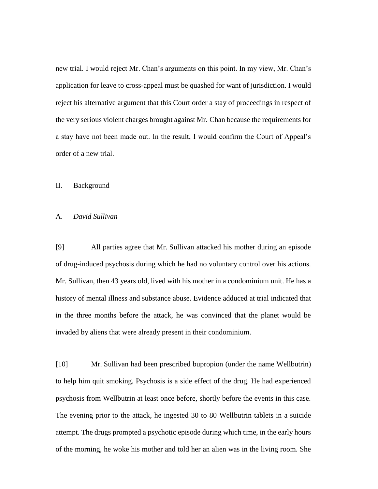new trial. I would reject Mr. Chan's arguments on this point. In my view, Mr. Chan's application for leave to cross-appeal must be quashed for want of jurisdiction. I would reject his alternative argument that this Court order a stay of proceedings in respect of the very serious violent charges brought against Mr. Chan because the requirements for a stay have not been made out. In the result, I would confirm the Court of Appeal's order of a new trial.

#### II. Background

### A. *David Sullivan*

[9] All parties agree that Mr. Sullivan attacked his mother during an episode of drug-induced psychosis during which he had no voluntary control over his actions. Mr. Sullivan, then 43 years old, lived with his mother in a condominium unit. He has a history of mental illness and substance abuse. Evidence adduced at trial indicated that in the three months before the attack, he was convinced that the planet would be invaded by aliens that were already present in their condominium.

[10] Mr. Sullivan had been prescribed bupropion (under the name Wellbutrin) to help him quit smoking. Psychosis is a side effect of the drug. He had experienced psychosis from Wellbutrin at least once before, shortly before the events in this case. The evening prior to the attack, he ingested 30 to 80 Wellbutrin tablets in a suicide attempt. The drugs prompted a psychotic episode during which time, in the early hours of the morning, he woke his mother and told her an alien was in the living room. She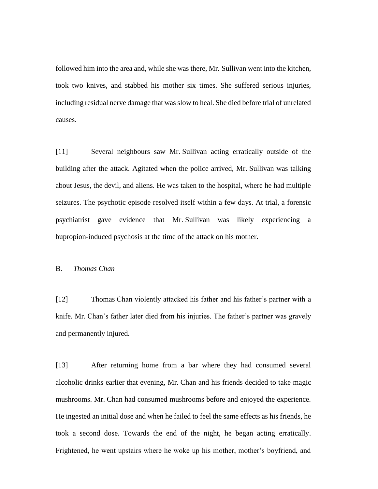followed him into the area and, while she was there, Mr. Sullivan went into the kitchen, took two knives, and stabbed his mother six times. She suffered serious injuries, including residual nerve damage that was slow to heal. She died before trial of unrelated causes.

[11] Several neighbours saw Mr. Sullivan acting erratically outside of the building after the attack. Agitated when the police arrived, Mr. Sullivan was talking about Jesus, the devil, and aliens. He was taken to the hospital, where he had multiple seizures. The psychotic episode resolved itself within a few days. At trial, a forensic psychiatrist gave evidence that Mr. Sullivan was likely experiencing a bupropion-induced psychosis at the time of the attack on his mother.

# B. *Thomas Chan*

[12] Thomas Chan violently attacked his father and his father's partner with a knife. Mr. Chan's father later died from his injuries. The father's partner was gravely and permanently injured.

[13] After returning home from a bar where they had consumed several alcoholic drinks earlier that evening, Mr. Chan and his friends decided to take magic mushrooms. Mr. Chan had consumed mushrooms before and enjoyed the experience. He ingested an initial dose and when he failed to feel the same effects as his friends, he took a second dose. Towards the end of the night, he began acting erratically. Frightened, he went upstairs where he woke up his mother, mother's boyfriend, and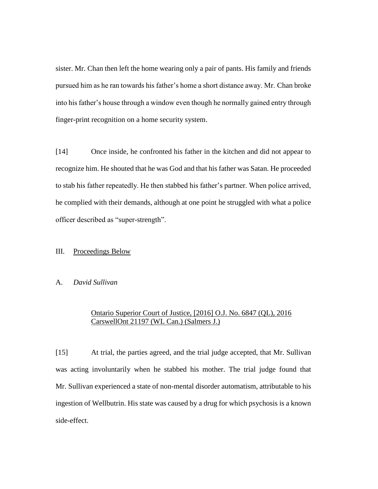sister. Mr. Chan then left the home wearing only a pair of pants. His family and friends pursued him as he ran towards his father's home a short distance away. Mr. Chan broke into his father's house through a window even though he normally gained entry through finger-print recognition on a home security system.

[14] Once inside, he confronted his father in the kitchen and did not appear to recognize him. He shouted that he was God and that his father was Satan. He proceeded to stab his father repeatedly. He then stabbed his father's partner. When police arrived, he complied with their demands, although at one point he struggled with what a police officer described as "super-strength".

# III. Proceedings Below

#### A. *David Sullivan*

# Ontario Superior Court of Justice, [2016] O.J. No. 6847 (QL), 2016 CarswellOnt 21197 (WL Can.) (Salmers J.)

[15] At trial, the parties agreed, and the trial judge accepted, that Mr. Sullivan was acting involuntarily when he stabbed his mother. The trial judge found that Mr. Sullivan experienced a state of non-mental disorder automatism, attributable to his ingestion of Wellbutrin. His state was caused by a drug for which psychosis is a known side-effect.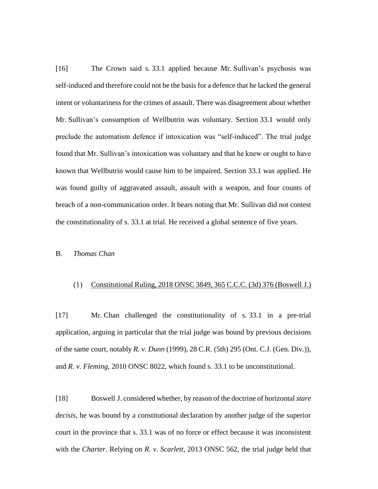[16] The Crown said s. 33.1 applied because Mr. Sullivan's psychosis was self-induced and therefore could not be the basis for a defence that he lacked the general intent or voluntariness for the crimes of assault. There was disagreement about whether Mr. Sullivan's consumption of Wellbutrin was voluntary. Section 33.1 would only preclude the automatism defence if intoxication was "self-induced". The trial judge found that Mr. Sullivan's intoxication was voluntary and that he knew or ought to have known that Wellbutrin would cause him to be impaired. Section 33.1 was applied. He was found guilty of aggravated assault, assault with a weapon, and four counts of breach of a non-communication order. It bears noting that Mr. Sullivan did not contest the constitutionality of s. 33.1 at trial. He received a global sentence of five years.

#### B. *Thomas Chan*

#### Constitutional Ruling, 2018 ONSC 3849, 365 C.C.C. (3d) 376 (Boswell J.)

[17] Mr. Chan challenged the constitutionality of s. 33.1 in a pre-trial application, arguing in particular that the trial judge was bound by previous decisions of the same court, notably *R. v. Dunn* (1999), 28 C.R. (5th) 295 (Ont. C.J. (Gen. Div.)), and *R. v. Fleming*, 2010 ONSC 8022, which found s. 33.1 to be unconstitutional.

[18] Boswell J. considered whether, by reason of the doctrine of horizontal *stare decisis*, he was bound by a constitutional declaration by another judge of the superior court in the province that s. 33.1 was of no force or effect because it was inconsistent with the *Charter*. Relying on *R. v. Scarlett*, 2013 ONSC 562, the trial judge held that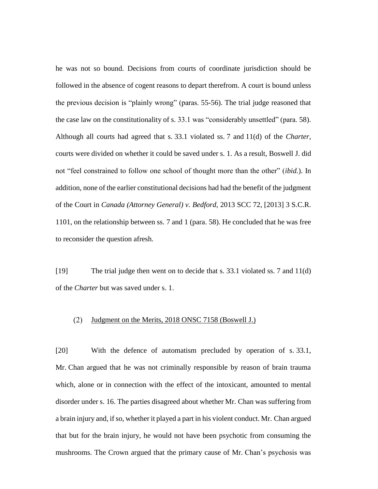he was not so bound. Decisions from courts of coordinate jurisdiction should be followed in the absence of cogent reasons to depart therefrom. A court is bound unless the previous decision is "plainly wrong" (paras. 55-56). The trial judge reasoned that the case law on the constitutionality of s. 33.1 was "considerably unsettled" (para. 58). Although all courts had agreed that s. 33.1 violated ss. 7 and 11(d) of the *Charter*, courts were divided on whether it could be saved under s. 1. As a result, Boswell J. did not "feel constrained to follow one school of thought more than the other" (*ibid.*). In addition, none of the earlier constitutional decisions had had the benefit of the judgment of the Court in *Canada (Attorney General) v. Bedford*, 2013 SCC 72, [2013] 3 S.C.R. 1101, on the relationship between ss. 7 and 1 (para. 58). He concluded that he was free to reconsider the question afresh.

[19] The trial judge then went on to decide that s. 33.1 violated ss. 7 and 11(d) of the *Charter* but was saved under s. 1.

#### $(2)$ Judgment on the Merits, 2018 ONSC 7158 (Boswell J.)

[20] With the defence of automatism precluded by operation of s. 33.1, Mr. Chan argued that he was not criminally responsible by reason of brain trauma which, alone or in connection with the effect of the intoxicant, amounted to mental disorder under s. 16. The parties disagreed about whether Mr. Chan was suffering from a brain injury and, if so, whether it played a part in his violent conduct. Mr. Chan argued that but for the brain injury, he would not have been psychotic from consuming the mushrooms. The Crown argued that the primary cause of Mr. Chan's psychosis was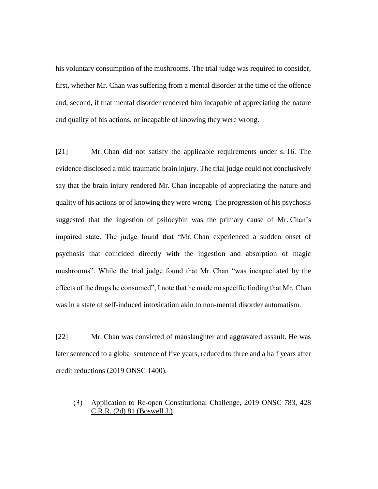his voluntary consumption of the mushrooms. The trial judge was required to consider, first, whether Mr. Chan was suffering from a mental disorder at the time of the offence and, second, if that mental disorder rendered him incapable of appreciating the nature and quality of his actions, or incapable of knowing they were wrong.

[21] Mr. Chan did not satisfy the applicable requirements under s. 16. The evidence disclosed a mild traumatic brain injury. The trial judge could not conclusively say that the brain injury rendered Mr. Chan incapable of appreciating the nature and quality of his actions or of knowing they were wrong. The progression of his psychosis suggested that the ingestion of psilocybin was the primary cause of Mr. Chan's impaired state. The judge found that "Mr. Chan experienced a sudden onset of psychosis that coincided directly with the ingestion and absorption of magic mushrooms". While the trial judge found that Mr. Chan "was incapacitated by the effects of the drugs he consumed", I note that he made no specific finding that Mr. Chan was in a state of self-induced intoxication akin to non-mental disorder automatism.

[22] Mr. Chan was convicted of manslaughter and aggravated assault. He was later sentenced to a global sentence of five years, reduced to three and a half years after credit reductions (2019 ONSC 1400).

# Application to Re-open Constitutional Challenge, 2019 ONSC 783, 428 C.R.R. (2d) 81 (Boswell J.)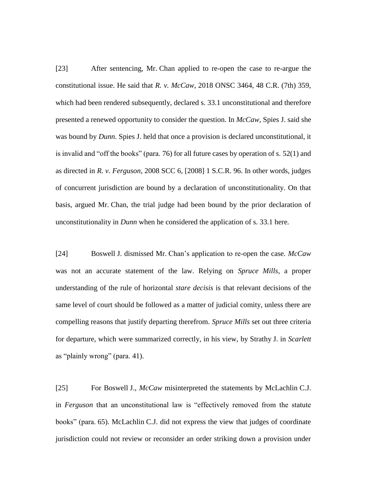[23] After sentencing, Mr. Chan applied to re-open the case to re-argue the constitutional issue. He said that *R. v. McCaw*, 2018 ONSC 3464, 48 C.R. (7th) 359, which had been rendered subsequently, declared s. 33.1 unconstitutional and therefore presented a renewed opportunity to consider the question. In *McCaw*, Spies J. said she was bound by *Dunn*. Spies J. held that once a provision is declared unconstitutional, it is invalid and "off the books" (para. 76) for all future cases by operation of s. 52(1) and as directed in *R. v. Ferguson*, 2008 SCC 6, [2008] 1 S.C.R. 96. In other words, judges of concurrent jurisdiction are bound by a declaration of unconstitutionality. On that basis, argued Mr. Chan, the trial judge had been bound by the prior declaration of unconstitutionality in *Dunn* when he considered the application of s. 33.1 here.

[24] Boswell J. dismissed Mr. Chan's application to re-open the case. *McCaw* was not an accurate statement of the law. Relying on *Spruce Mills*, a proper understanding of the rule of horizontal *stare decisis* is that relevant decisions of the same level of court should be followed as a matter of judicial comity, unless there are compelling reasons that justify departing therefrom. *Spruce Mills* set out three criteria for departure, which were summarized correctly, in his view, by Strathy J. in *Scarlett* as "plainly wrong" (para. 41).

[25] For Boswell J., *McCaw* misinterpreted the statements by McLachlin C.J. in *Ferguson* that an unconstitutional law is "effectively removed from the statute books" (para. 65). McLachlin C.J. did not express the view that judges of coordinate jurisdiction could not review or reconsider an order striking down a provision under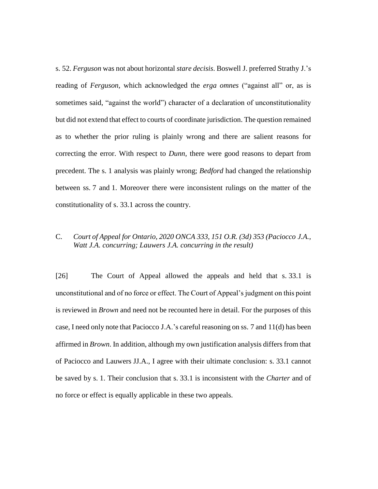s. 52. *Ferguson* was not about horizontal *stare decisis*. Boswell J. preferred Strathy J.'s reading of *Ferguson*, which acknowledged the *erga omnes* ("against all" or, as is sometimes said, "against the world") character of a declaration of unconstitutionality but did not extend that effect to courts of coordinate jurisdiction. The question remained as to whether the prior ruling is plainly wrong and there are salient reasons for correcting the error. With respect to *Dunn*, there were good reasons to depart from precedent. The s. 1 analysis was plainly wrong; *Bedford* had changed the relationship between ss. 7 and 1. Moreover there were inconsistent rulings on the matter of the constitutionality of s. 33.1 across the country.

# C. *Court of Appeal for Ontario, 2020 ONCA 333, 151 O.R. (3d) 353 (Paciocco J.A., Watt J.A. concurring; Lauwers J.A. concurring in the result)*

[26] The Court of Appeal allowed the appeals and held that s. 33.1 is unconstitutional and of no force or effect. The Court of Appeal's judgment on this point is reviewed in *Brown* and need not be recounted here in detail. For the purposes of this case, I need only note that Paciocco J.A.'s careful reasoning on ss. 7 and 11(d) has been affirmed in *Brown*. In addition, although my own justification analysis differs from that of Paciocco and Lauwers JJ.A., I agree with their ultimate conclusion: s. 33.1 cannot be saved by s. 1. Their conclusion that s. 33.1 is inconsistent with the *Charter* and of no force or effect is equally applicable in these two appeals.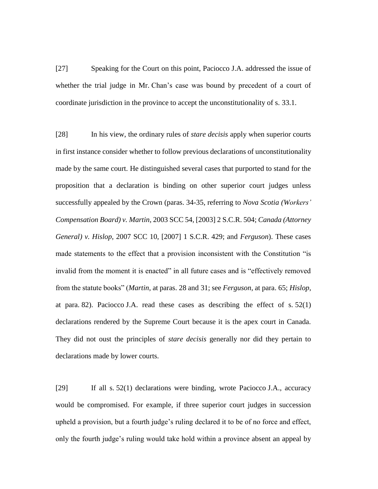[27] Speaking for the Court on this point, Paciocco J.A. addressed the issue of whether the trial judge in Mr. Chan's case was bound by precedent of a court of coordinate jurisdiction in the province to accept the unconstitutionality of s. 33.1.

[28] In his view, the ordinary rules of *stare decisis* apply when superior courts in first instance consider whether to follow previous declarations of unconstitutionality made by the same court. He distinguished several cases that purported to stand for the proposition that a declaration is binding on other superior court judges unless successfully appealed by the Crown (paras. 34-35, referring to *Nova Scotia (Workers' Compensation Board) v. Martin*, 2003 SCC 54, [2003] 2 S.C.R. 504; *Canada (Attorney General) v. Hislop*, 2007 SCC 10, [2007] 1 S.C.R. 429; and *Ferguson*). These cases made statements to the effect that a provision inconsistent with the Constitution "is invalid from the moment it is enacted" in all future cases and is "effectively removed from the statute books" (*Martin*, at paras. 28 and 31; see *Ferguson*, at para. 65; *Hislop*, at para. 82). Paciocco J.A. read these cases as describing the effect of s. 52(1) declarations rendered by the Supreme Court because it is the apex court in Canada. They did not oust the principles of *stare decisis* generally nor did they pertain to declarations made by lower courts.

[29] If all s. 52(1) declarations were binding, wrote Paciocco J.A., accuracy would be compromised. For example, if three superior court judges in succession upheld a provision, but a fourth judge's ruling declared it to be of no force and effect, only the fourth judge's ruling would take hold within a province absent an appeal by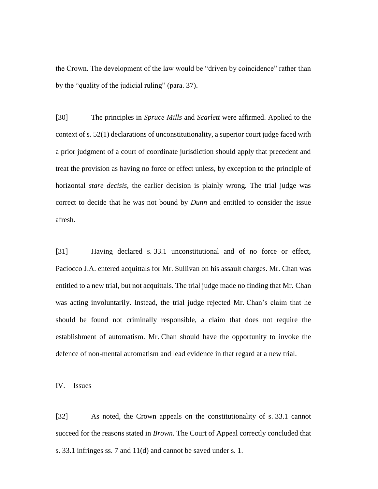the Crown. The development of the law would be "driven by coincidence" rather than by the "quality of the judicial ruling" (para. 37).

[30] The principles in *Spruce Mills* and *Scarlett* were affirmed. Applied to the context of s. 52(1) declarations of unconstitutionality, a superior court judge faced with a prior judgment of a court of coordinate jurisdiction should apply that precedent and treat the provision as having no force or effect unless, by exception to the principle of horizontal *stare decisis*, the earlier decision is plainly wrong. The trial judge was correct to decide that he was not bound by *Dunn* and entitled to consider the issue afresh.

[31] Having declared s. 33.1 unconstitutional and of no force or effect, Paciocco J.A. entered acquittals for Mr. Sullivan on his assault charges. Mr. Chan was entitled to a new trial, but not acquittals. The trial judge made no finding that Mr. Chan was acting involuntarily. Instead, the trial judge rejected Mr. Chan's claim that he should be found not criminally responsible, a claim that does not require the establishment of automatism. Mr. Chan should have the opportunity to invoke the defence of non-mental automatism and lead evidence in that regard at a new trial.

IV. Issues

[32] As noted, the Crown appeals on the constitutionality of s. 33.1 cannot succeed for the reasons stated in *Brown*. The Court of Appeal correctly concluded that s. 33.1 infringes ss. 7 and 11(d) and cannot be saved under s. 1.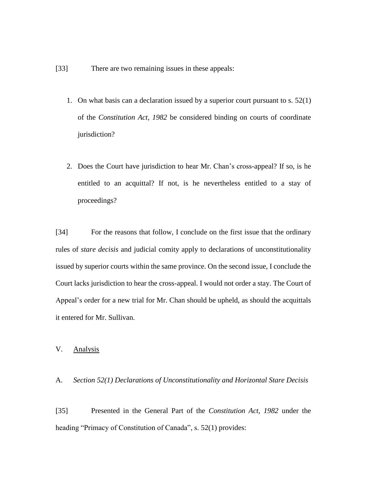- [33] There are two remaining issues in these appeals:
	- 1. On what basis can a declaration issued by a superior court pursuant to s. 52(1) of the *Constitution Act, 1982* be considered binding on courts of coordinate jurisdiction?
	- 2. Does the Court have jurisdiction to hear Mr. Chan's cross-appeal? If so, is he entitled to an acquittal? If not, is he nevertheless entitled to a stay of proceedings?

[34] For the reasons that follow, I conclude on the first issue that the ordinary rules of *stare decisis* and judicial comity apply to declarations of unconstitutionality issued by superior courts within the same province. On the second issue, I conclude the Court lacks jurisdiction to hear the cross-appeal. I would not order a stay. The Court of Appeal's order for a new trial for Mr. Chan should be upheld, as should the acquittals it entered for Mr. Sullivan.

# V. Analysis

### A. *Section 52(1) Declarations of Unconstitutionality and Horizontal Stare Decisis*

[35] Presented in the General Part of the *Constitution Act, 1982* under the heading "Primacy of Constitution of Canada", s. 52(1) provides: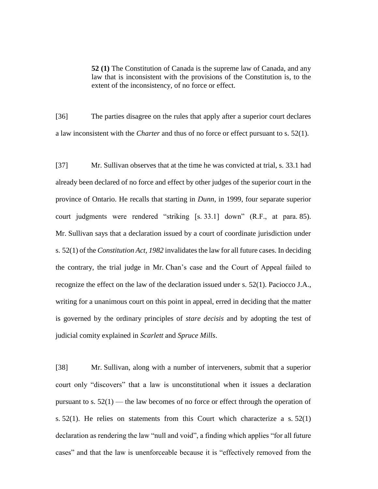**52 (1)** The Constitution of Canada is the supreme law of Canada, and any law that is inconsistent with the provisions of the Constitution is, to the extent of the inconsistency, of no force or effect.

[36] The parties disagree on the rules that apply after a superior court declares a law inconsistent with the *Charter* and thus of no force or effect pursuant to s. 52(1).

[37] Mr. Sullivan observes that at the time he was convicted at trial, s. 33.1 had already been declared of no force and effect by other judges of the superior court in the province of Ontario. He recalls that starting in *Dunn*, in 1999, four separate superior court judgments were rendered "striking [s. 33.1] down" (R.F., at para. 85). Mr. Sullivan says that a declaration issued by a court of coordinate jurisdiction under s. 52(1) of the *Constitution Act, 1982* invalidates the law for all future cases. In deciding the contrary, the trial judge in Mr. Chan's case and the Court of Appeal failed to recognize the effect on the law of the declaration issued under s. 52(1). Paciocco J.A., writing for a unanimous court on this point in appeal, erred in deciding that the matter is governed by the ordinary principles of *stare decisis* and by adopting the test of judicial comity explained in *Scarlett* and *Spruce Mills*.

[38] Mr. Sullivan, along with a number of interveners, submit that a superior court only "discovers" that a law is unconstitutional when it issues a declaration pursuant to s.  $52(1)$  — the law becomes of no force or effect through the operation of s.  $52(1)$ . He relies on statements from this Court which characterize a s.  $52(1)$ declaration as rendering the law "null and void", a finding which applies "for all future cases" and that the law is unenforceable because it is "effectively removed from the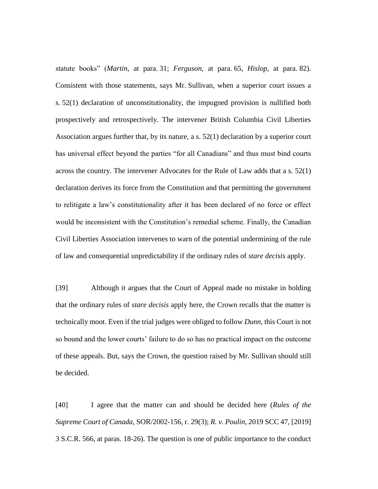statute books" (*Martin*, at para. 31; *Ferguson*, at para. 65, *Hislop*, at para. 82). Consistent with those statements, says Mr. Sullivan, when a superior court issues a s. 52(1) declaration of unconstitutionality, the impugned provision is nullified both prospectively and retrospectively. The intervener British Columbia Civil Liberties Association argues further that, by its nature, a s. 52(1) declaration by a superior court has universal effect beyond the parties "for all Canadians" and thus must bind courts across the country. The intervener Advocates for the Rule of Law adds that a s. 52(1) declaration derives its force from the Constitution and that permitting the government to relitigate a law's constitutionality after it has been declared of no force or effect would be inconsistent with the Constitution's remedial scheme. Finally, the Canadian Civil Liberties Association intervenes to warn of the potential undermining of the rule of law and consequential unpredictability if the ordinary rules of *stare decisis* apply.

[39] Although it argues that the Court of Appeal made no mistake in holding that the ordinary rules of *stare decisis* apply here, the Crown recalls that the matter is technically moot. Even if the trial judges were obliged to follow *Dunn*, this Court is not so bound and the lower courts' failure to do so has no practical impact on the outcome of these appeals. But, says the Crown, the question raised by Mr. Sullivan should still be decided.

[40] I agree that the matter can and should be decided here (*Rules of the Supreme Court of Canada*, SOR/2002-156, r. 29(3); *R. v. Poulin*, 2019 SCC 47, [2019] 3 S.C.R. 566, at paras. 18-26). The question is one of public importance to the conduct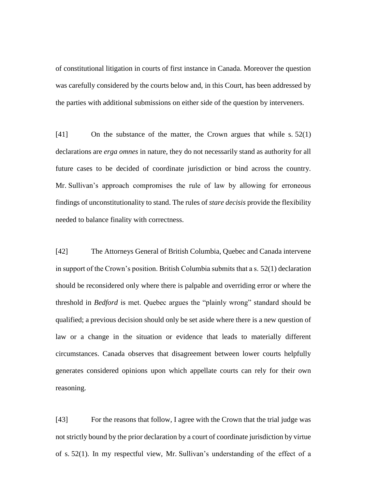of constitutional litigation in courts of first instance in Canada. Moreover the question was carefully considered by the courts below and, in this Court, has been addressed by the parties with additional submissions on either side of the question by interveners.

[41] On the substance of the matter, the Crown argues that while s. 52(1) declarations are *erga omnes* in nature, they do not necessarily stand as authority for all future cases to be decided of coordinate jurisdiction or bind across the country. Mr. Sullivan's approach compromises the rule of law by allowing for erroneous findings of unconstitutionality to stand. The rules of *stare decisis* provide the flexibility needed to balance finality with correctness.

[42] The Attorneys General of British Columbia, Quebec and Canada intervene in support of the Crown's position. British Columbia submits that a s. 52(1) declaration should be reconsidered only where there is palpable and overriding error or where the threshold in *Bedford* is met. Quebec argues the "plainly wrong" standard should be qualified; a previous decision should only be set aside where there is a new question of law or a change in the situation or evidence that leads to materially different circumstances. Canada observes that disagreement between lower courts helpfully generates considered opinions upon which appellate courts can rely for their own reasoning.

[43] For the reasons that follow, I agree with the Crown that the trial judge was not strictly bound by the prior declaration by a court of coordinate jurisdiction by virtue of s. 52(1). In my respectful view, Mr. Sullivan's understanding of the effect of a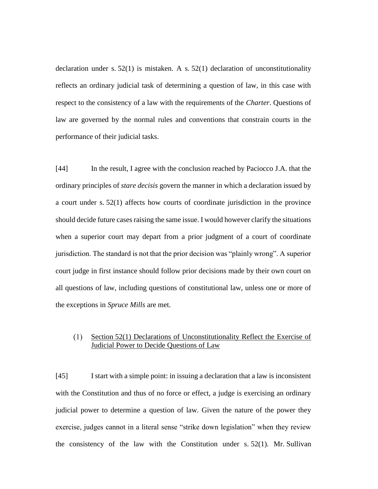declaration under s.  $52(1)$  is mistaken. A s.  $52(1)$  declaration of unconstitutionality reflects an ordinary judicial task of determining a question of law, in this case with respect to the consistency of a law with the requirements of the *Charter*. Questions of law are governed by the normal rules and conventions that constrain courts in the performance of their judicial tasks.

[44] In the result, I agree with the conclusion reached by Paciocco J.A. that the ordinary principles of *stare decisis* govern the manner in which a declaration issued by a court under s. 52(1) affects how courts of coordinate jurisdiction in the province should decide future cases raising the same issue. I would however clarify the situations when a superior court may depart from a prior judgment of a court of coordinate jurisdiction. The standard is not that the prior decision was "plainly wrong". A superior court judge in first instance should follow prior decisions made by their own court on all questions of law, including questions of constitutional law, unless one or more of the exceptions in *Spruce Mills* are met.

#### Section 52(1) Declarations of Unconstitutionality Reflect the Exercise of  $(1)$ Judicial Power to Decide Questions of Law

[45] I start with a simple point: in issuing a declaration that a law is inconsistent with the Constitution and thus of no force or effect, a judge is exercising an ordinary judicial power to determine a question of law. Given the nature of the power they exercise, judges cannot in a literal sense "strike down legislation" when they review the consistency of the law with the Constitution under s. 52(1). Mr. Sullivan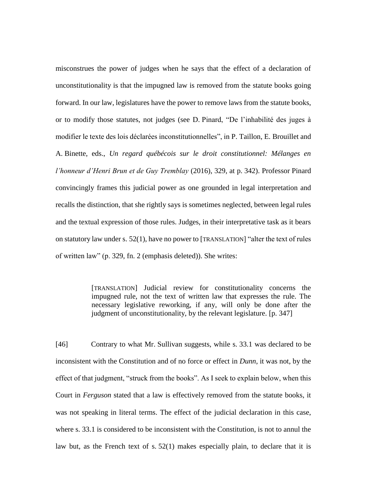misconstrues the power of judges when he says that the effect of a declaration of unconstitutionality is that the impugned law is removed from the statute books going forward. In our law, legislatures have the power to remove laws from the statute books, or to modify those statutes, not judges (see D. Pinard, "De l'inhabilité des juges à modifier le texte des lois déclarées inconstitutionnelles", in P. Taillon, E. Brouillet and A. Binette, eds., *Un regard québécois sur le droit constitutionnel: Mélanges en l'honneur d'Henri Brun et de Guy Tremblay* (2016), 329, at p. 342). Professor Pinard convincingly frames this judicial power as one grounded in legal interpretation and recalls the distinction, that she rightly says is sometimes neglected, between legal rules and the textual expression of those rules. Judges, in their interpretative task as it bears on statutory law under s. 52(1), have no power to [TRANSLATION] "alter the text of rules of written law" (p. 329, fn. 2 (emphasis deleted)). She writes:

> [TRANSLATION] Judicial review for constitutionality concerns the impugned rule, not the text of written law that expresses the rule. The necessary legislative reworking, if any, will only be done after the judgment of unconstitutionality, by the relevant legislature. [p. 347]

[46] Contrary to what Mr. Sullivan suggests, while s. 33.1 was declared to be inconsistent with the Constitution and of no force or effect in *Dunn*, it was not, by the effect of that judgment, "struck from the books". As I seek to explain below, when this Court in *Ferguson* stated that a law is effectively removed from the statute books, it was not speaking in literal terms. The effect of the judicial declaration in this case, where s. 33.1 is considered to be inconsistent with the Constitution, is not to annul the law but, as the French text of s. 52(1) makes especially plain, to declare that it is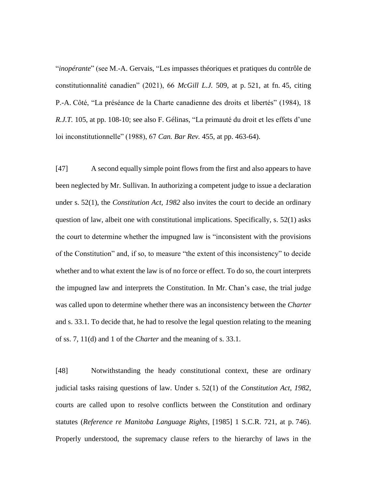"*inopérante*" (see M.-A. Gervais, "Les impasses théoriques et pratiques du contrôle de constitutionnalité canadien" (2021), 66 *McGill L.J.* 509, at p. 521, at fn. 45, citing P.-A. Côté, "La préséance de la Charte canadienne des droits et libertés" (1984), 18 *R.J.T.* 105, at pp. 108-10; see also F. Gélinas, "La primauté du droit et les effets d'une loi inconstitutionnelle" (1988), 67 *Can. Bar Rev.* 455, at pp. 463-64).

[47] A second equally simple point flows from the first and also appears to have been neglected by Mr. Sullivan. In authorizing a competent judge to issue a declaration under s. 52(1), the *Constitution Act, 1982* also invites the court to decide an ordinary question of law, albeit one with constitutional implications. Specifically, s. 52(1) asks the court to determine whether the impugned law is "inconsistent with the provisions of the Constitution" and, if so, to measure "the extent of this inconsistency" to decide whether and to what extent the law is of no force or effect. To do so, the court interprets the impugned law and interprets the Constitution. In Mr. Chan's case, the trial judge was called upon to determine whether there was an inconsistency between the *Charter* and s. 33.1. To decide that, he had to resolve the legal question relating to the meaning of ss. 7, 11(d) and 1 of the *Charter* and the meaning of s. 33.1.

[48] Notwithstanding the heady constitutional context, these are ordinary judicial tasks raising questions of law. Under s. 52(1) of the *Constitution Act, 1982*, courts are called upon to resolve conflicts between the Constitution and ordinary statutes (*Reference re Manitoba Language Rights*, [1985] 1 S.C.R. 721, at p. 746). Properly understood, the supremacy clause refers to the hierarchy of laws in the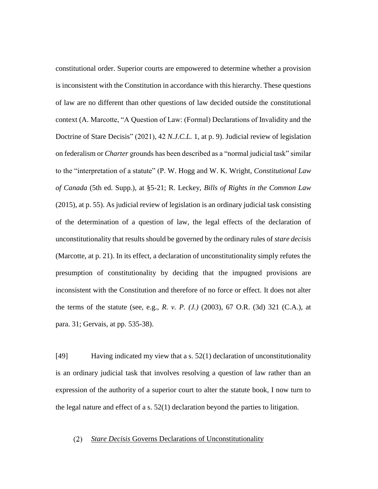constitutional order. Superior courts are empowered to determine whether a provision is inconsistent with the Constitution in accordance with this hierarchy. These questions of law are no different than other questions of law decided outside the constitutional context (A. Marcotte, "A Question of Law: (Formal) Declarations of Invalidity and the Doctrine of Stare Decisis" (2021), 42 *N.J.C.L.* 1, at p. 9). Judicial review of legislation on federalism or *Charter* grounds has been described as a "normal judicial task" similar to the "interpretation of a statute" (P. W. Hogg and W. K. Wright, *Constitutional Law of Canada* (5th ed. Supp.), at §5-21; R. Leckey, *Bills of Rights in the Common Law* (2015), at p. 55). As judicial review of legislation is an ordinary judicial task consisting of the determination of a question of law, the legal effects of the declaration of unconstitutionality that results should be governed by the ordinary rules of *stare decisis* (Marcotte, at p. 21). In its effect, a declaration of unconstitutionality simply refutes the presumption of constitutionality by deciding that the impugned provisions are inconsistent with the Constitution and therefore of no force or effect. It does not alter the terms of the statute (see, e.g., *R. v. P. (J.)* (2003), 67 O.R. (3d) 321 (C.A.), at para. 31; Gervais, at pp. 535-38).

[49] Having indicated my view that a s. 52(1) declaration of unconstitutionality is an ordinary judicial task that involves resolving a question of law rather than an expression of the authority of a superior court to alter the statute book, I now turn to the legal nature and effect of a s. 52(1) declaration beyond the parties to litigation.

#### *Stare Decisis* Governs Declarations of Unconstitutionality $(2)$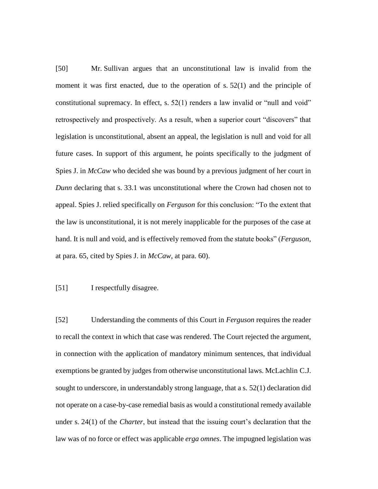[50] Mr. Sullivan argues that an unconstitutional law is invalid from the moment it was first enacted, due to the operation of s. 52(1) and the principle of constitutional supremacy. In effect, s.  $52(1)$  renders a law invalid or "null and void" retrospectively and prospectively. As a result, when a superior court "discovers" that legislation is unconstitutional, absent an appeal, the legislation is null and void for all future cases. In support of this argument, he points specifically to the judgment of Spies J. in *McCaw* who decided she was bound by a previous judgment of her court in *Dunn* declaring that s. 33.1 was unconstitutional where the Crown had chosen not to appeal. Spies J. relied specifically on *Ferguson* for this conclusion: "To the extent that the law is unconstitutional, it is not merely inapplicable for the purposes of the case at hand. It is null and void, and is effectively removed from the statute books" (*Ferguson*, at para. 65, cited by Spies J. in *McCaw*, at para. 60).

# [51] I respectfully disagree.

[52] Understanding the comments of this Court in *Ferguson* requires the reader to recall the context in which that case was rendered. The Court rejected the argument, in connection with the application of mandatory minimum sentences, that individual exemptions be granted by judges from otherwise unconstitutional laws. McLachlin C.J. sought to underscore, in understandably strong language, that a s. 52(1) declaration did not operate on a case-by-case remedial basis as would a constitutional remedy available under s. 24(1) of the *Charter*, but instead that the issuing court's declaration that the law was of no force or effect was applicable *erga omnes*. The impugned legislation was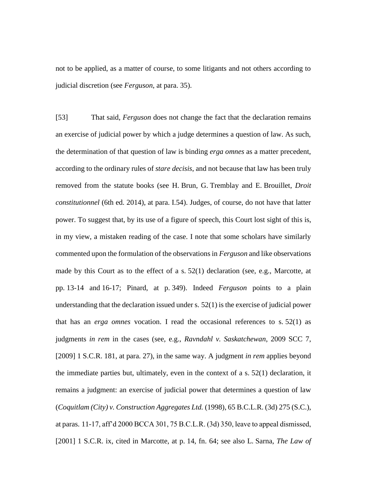not to be applied, as a matter of course, to some litigants and not others according to judicial discretion (see *Ferguson*, at para. 35).

[53] That said, *Ferguson* does not change the fact that the declaration remains an exercise of judicial power by which a judge determines a question of law. As such, the determination of that question of law is binding *erga omnes* as a matter precedent, according to the ordinary rules of *stare decisis*, and not because that law has been truly removed from the statute books (see H. Brun, G. Tremblay and E. Brouillet, *Droit constitutionnel* (6th ed. 2014), at para. I.54). Judges, of course, do not have that latter power. To suggest that, by its use of a figure of speech, this Court lost sight of this is, in my view, a mistaken reading of the case. I note that some scholars have similarly commented upon the formulation of the observations in *Ferguson* and like observations made by this Court as to the effect of a s. 52(1) declaration (see, e.g., Marcotte, at pp. 13-14 and 16-17; Pinard, at p. 349). Indeed *Ferguson* points to a plain understanding that the declaration issued under s. 52(1) is the exercise of judicial power that has an *erga omnes* vocation. I read the occasional references to s. 52(1) as judgments *in rem* in the cases (see, e.g., *Ravndahl v. Saskatchewan*, 2009 SCC 7, [2009] 1 S.C.R. 181, at para. 27), in the same way. A judgment *in rem* applies beyond the immediate parties but, ultimately, even in the context of a s.  $52(1)$  declaration, it remains a judgment: an exercise of judicial power that determines a question of law (*Coquitlam (City) v. Construction Aggregates Ltd.* (1998), 65 B.C.L.R. (3d) 275 (S.C.), at paras. 11-17, aff'd 2000 BCCA 301, 75 B.C.L.R. (3d) 350, leave to appeal dismissed, [2001] 1 S.C.R. ix, cited in Marcotte, at p. 14, fn. 64; see also L. Sarna, *The Law of*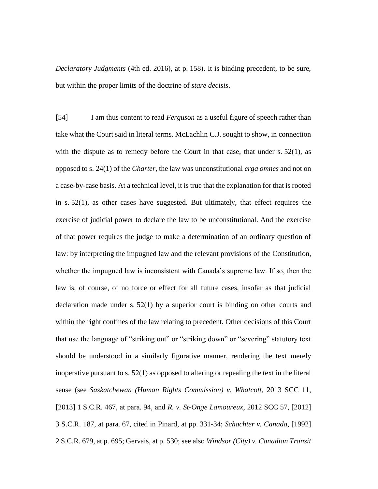*Declaratory Judgments* (4th ed. 2016), at p. 158). It is binding precedent, to be sure, but within the proper limits of the doctrine of *stare decisis*.

[54] I am thus content to read *Ferguson* as a useful figure of speech rather than take what the Court said in literal terms. McLachlin C.J. sought to show, in connection with the dispute as to remedy before the Court in that case, that under s.  $52(1)$ , as opposed to s. 24(1) of the *Charter*, the law was unconstitutional *erga omnes* and not on a case-by-case basis. At a technical level, it is true that the explanation for that is rooted in s. 52(1), as other cases have suggested. But ultimately, that effect requires the exercise of judicial power to declare the law to be unconstitutional. And the exercise of that power requires the judge to make a determination of an ordinary question of law: by interpreting the impugned law and the relevant provisions of the Constitution, whether the impugned law is inconsistent with Canada's supreme law. If so, then the law is, of course, of no force or effect for all future cases, insofar as that judicial declaration made under s. 52(1) by a superior court is binding on other courts and within the right confines of the law relating to precedent. Other decisions of this Court that use the language of "striking out" or "striking down" or "severing" statutory text should be understood in a similarly figurative manner, rendering the text merely inoperative pursuant to s.  $52(1)$  as opposed to altering or repealing the text in the literal sense (see *Saskatchewan (Human Rights Commission) v. Whatcott*, 2013 SCC 11, [2013] 1 S.C.R. 467, at para. 94, and *R. v. St-Onge Lamoureux*, 2012 SCC 57, [2012] 3 S.C.R. 187, at para. 67, cited in Pinard, at pp. 331-34; *Schachter v. Canada*, [1992] 2 S.C.R. 679, at p. 695; Gervais, at p. 530; see also *Windsor (City) v. Canadian Transit*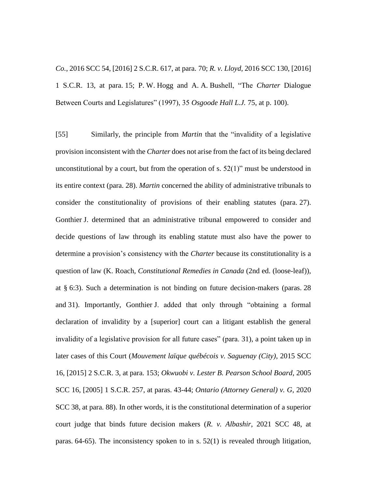*Co.*, 2016 SCC 54, [2016] 2 S.C.R. 617, at para. 70; *R. v. Lloyd*, 2016 SCC 130, [2016] 1 S.C.R. 13, at para. 15; P. W. Hogg and A. A. Bushell, "The *Charter* Dialogue Between Courts and Legislatures" (1997), 35 *Osgoode Hall L.J.* 75, at p. 100).

[55] Similarly, the principle from *Martin* that the "invalidity of a legislative provision inconsistent with the *Charter* does not arise from the fact of its being declared unconstitutional by a court, but from the operation of s.  $52(1)$ " must be understood in its entire context (para. 28). *Martin* concerned the ability of administrative tribunals to consider the constitutionality of provisions of their enabling statutes (para. 27). Gonthier J. determined that an administrative tribunal empowered to consider and decide questions of law through its enabling statute must also have the power to determine a provision's consistency with the *Charter* because its constitutionality is a question of law (K. Roach, *Constitutional Remedies in Canada* (2nd ed. (loose-leaf)), at § 6:3). Such a determination is not binding on future decision-makers (paras. 28 and 31). Importantly, Gonthier J. added that only through "obtaining a formal declaration of invalidity by a [superior] court can a litigant establish the general invalidity of a legislative provision for all future cases" (para. 31), a point taken up in later cases of this Court (*Mouvement laïque québécois v. Saguenay (City)*, 2015 SCC 16, [2015] 2 S.C.R. 3, at para. 153; *Okwuobi v. Lester B. Pearson School Board*, 2005 SCC 16, [2005] 1 S.C.R. 257, at paras. 43-44; *Ontario (Attorney General) v. G*, 2020 SCC 38, at para. 88). In other words, it is the constitutional determination of a superior court judge that binds future decision makers (*R. v. Albashir*, 2021 SCC 48, at paras. 64-65). The inconsistency spoken to in s. 52(1) is revealed through litigation,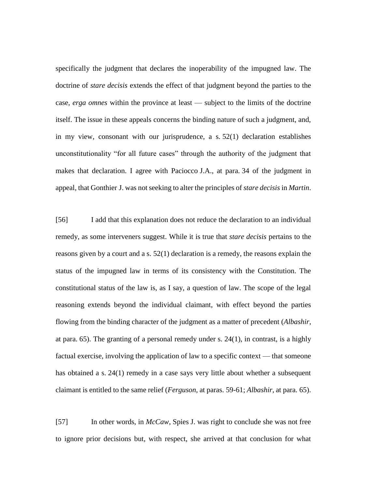specifically the judgment that declares the inoperability of the impugned law. The doctrine of *stare decisis* extends the effect of that judgment beyond the parties to the case, *erga omnes* within the province at least — subject to the limits of the doctrine itself. The issue in these appeals concerns the binding nature of such a judgment, and, in my view, consonant with our jurisprudence, a s. 52(1) declaration establishes unconstitutionality "for all future cases" through the authority of the judgment that makes that declaration. I agree with Paciocco J.A., at para. 34 of the judgment in appeal, that Gonthier J. was not seeking to alter the principles of *stare decisis* in *Martin*.

[56] I add that this explanation does not reduce the declaration to an individual remedy, as some interveners suggest. While it is true that *stare decisis* pertains to the reasons given by a court and a s. 52(1) declaration is a remedy, the reasons explain the status of the impugned law in terms of its consistency with the Constitution. The constitutional status of the law is, as I say, a question of law. The scope of the legal reasoning extends beyond the individual claimant, with effect beyond the parties flowing from the binding character of the judgment as a matter of precedent (*Albashir*, at para.  $65$ ). The granting of a personal remedy under s.  $24(1)$ , in contrast, is a highly factual exercise, involving the application of law to a specific context — that someone has obtained a s. 24(1) remedy in a case says very little about whether a subsequent claimant is entitled to the same relief (*Ferguson*, at paras. 59-61; *Albashir*, at para. 65).

[57] In other words, in *McCaw*, Spies J. was right to conclude she was not free to ignore prior decisions but, with respect, she arrived at that conclusion for what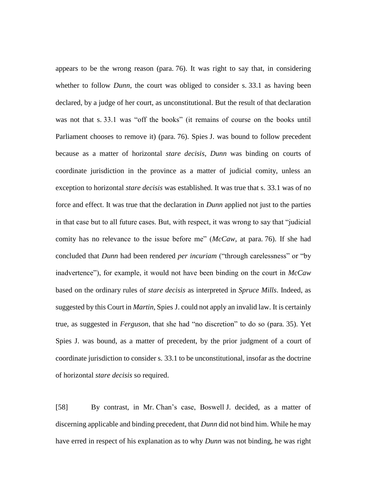appears to be the wrong reason (para. 76). It was right to say that, in considering whether to follow *Dunn*, the court was obliged to consider s. 33.1 as having been declared, by a judge of her court, as unconstitutional. But the result of that declaration was not that s. 33.1 was "off the books" (it remains of course on the books until Parliament chooses to remove it) (para. 76). Spies J. was bound to follow precedent because as a matter of horizontal *stare decisis*, *Dunn* was binding on courts of coordinate jurisdiction in the province as a matter of judicial comity, unless an exception to horizontal *stare decisis* was established. It was true that s. 33.1 was of no force and effect. It was true that the declaration in *Dunn* applied not just to the parties in that case but to all future cases. But, with respect, it was wrong to say that "judicial comity has no relevance to the issue before me" (*McCaw*, at para. 76). If she had concluded that *Dunn* had been rendered *per incuriam* ("through carelessness" or "by inadvertence"), for example, it would not have been binding on the court in *McCaw* based on the ordinary rules of *stare decisis* as interpreted in *Spruce Mills*. Indeed, as suggested by this Court in *Martin*, Spies J. could not apply an invalid law. It is certainly true, as suggested in *Ferguson*, that she had "no discretion" to do so (para. 35). Yet Spies J. was bound, as a matter of precedent, by the prior judgment of a court of coordinate jurisdiction to consider s. 33.1 to be unconstitutional, insofar as the doctrine of horizontal *stare decisis* so required.

[58] By contrast, in Mr. Chan's case, Boswell J. decided, as a matter of discerning applicable and binding precedent, that *Dunn* did not bind him. While he may have erred in respect of his explanation as to why *Dunn* was not binding, he was right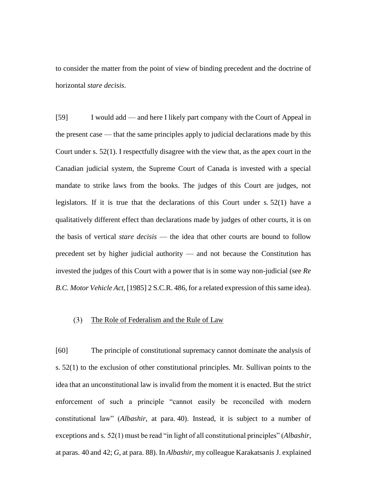to consider the matter from the point of view of binding precedent and the doctrine of horizontal *stare decisis*.

[59] I would add — and here I likely part company with the Court of Appeal in the present case — that the same principles apply to judicial declarations made by this Court under s. 52(1). I respectfully disagree with the view that, as the apex court in the Canadian judicial system, the Supreme Court of Canada is invested with a special mandate to strike laws from the books. The judges of this Court are judges, not legislators. If it is true that the declarations of this Court under s. 52(1) have a qualitatively different effect than declarations made by judges of other courts, it is on the basis of vertical *stare decisis* — the idea that other courts are bound to follow precedent set by higher judicial authority — and not because the Constitution has invested the judges of this Court with a power that is in some way non-judicial (see *Re B.C. Motor Vehicle Act*, [1985] 2 S.C.R. 486, for a related expression of this same idea).

#### $(3)$ The Role of Federalism and the Rule of Law

[60] The principle of constitutional supremacy cannot dominate the analysis of s. 52(1) to the exclusion of other constitutional principles. Mr. Sullivan points to the idea that an unconstitutional law is invalid from the moment it is enacted. But the strict enforcement of such a principle "cannot easily be reconciled with modern constitutional law" (*Albashir*, at para. 40). Instead, it is subject to a number of exceptions and s. 52(1) must be read "in light of all constitutional principles" (*Albashir*, at paras. 40 and 42; *G*, at para. 88). In *Albashir*, my colleague Karakatsanis J. explained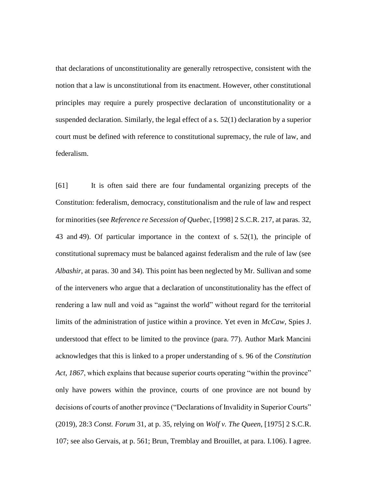that declarations of unconstitutionality are generally retrospective, consistent with the notion that a law is unconstitutional from its enactment. However, other constitutional principles may require a purely prospective declaration of unconstitutionality or a suspended declaration. Similarly, the legal effect of a s. 52(1) declaration by a superior court must be defined with reference to constitutional supremacy, the rule of law, and federalism.

[61] It is often said there are four fundamental organizing precepts of the Constitution: federalism, democracy, constitutionalism and the rule of law and respect for minorities (see *Reference re Secession of Quebec*, [1998] 2 S.C.R. 217, at paras. 32, 43 and 49). Of particular importance in the context of s. 52(1), the principle of constitutional supremacy must be balanced against federalism and the rule of law (see *Albashir*, at paras. 30 and 34). This point has been neglected by Mr. Sullivan and some of the interveners who argue that a declaration of unconstitutionality has the effect of rendering a law null and void as "against the world" without regard for the territorial limits of the administration of justice within a province. Yet even in *McCaw*, Spies J. understood that effect to be limited to the province (para. 77). Author Mark Mancini acknowledges that this is linked to a proper understanding of s. 96 of the *Constitution Act, 1867*, which explains that because superior courts operating "within the province" only have powers within the province, courts of one province are not bound by decisions of courts of another province ("Declarations of Invalidity in Superior Courts" (2019), 28:3 *Const. Forum* 31, at p. 35, relying on *Wolf v. The Queen*, [1975] 2 S.C.R. 107; see also Gervais, at p. 561; Brun, Tremblay and Brouillet, at para. I.106). I agree.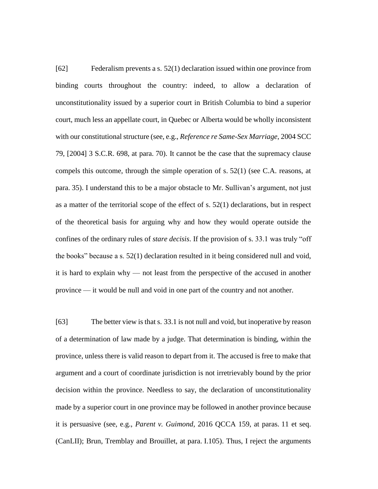[62] Federalism prevents a s. 52(1) declaration issued within one province from binding courts throughout the country: indeed, to allow a declaration of unconstitutionality issued by a superior court in British Columbia to bind a superior court, much less an appellate court, in Quebec or Alberta would be wholly inconsistent with our constitutional structure (see, e.g., *Reference re Same-Sex Marriage*, 2004 SCC 79, [2004] 3 S.C.R. 698, at para. 70). It cannot be the case that the supremacy clause compels this outcome, through the simple operation of s. 52(1) (see C.A. reasons, at para. 35). I understand this to be a major obstacle to Mr. Sullivan's argument, not just as a matter of the territorial scope of the effect of s. 52(1) declarations, but in respect of the theoretical basis for arguing why and how they would operate outside the confines of the ordinary rules of *stare decisis*. If the provision of s. 33.1 was truly "off the books" because a s. 52(1) declaration resulted in it being considered null and void, it is hard to explain why — not least from the perspective of the accused in another province — it would be null and void in one part of the country and not another.

[63] The better view is that s. 33.1 is not null and void, but inoperative by reason of a determination of law made by a judge. That determination is binding, within the province, unless there is valid reason to depart from it. The accused is free to make that argument and a court of coordinate jurisdiction is not irretrievably bound by the prior decision within the province. Needless to say, the declaration of unconstitutionality made by a superior court in one province may be followed in another province because it is persuasive (see, e.g., *Parent v. Guimond*, 2016 QCCA 159, at paras. 11 et seq. (CanLII); Brun, Tremblay and Brouillet, at para. I.105). Thus, I reject the arguments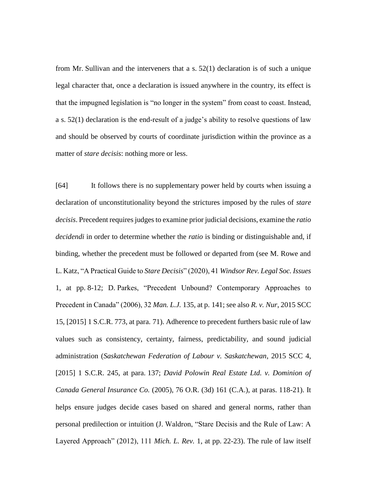from Mr. Sullivan and the interveners that a s. 52(1) declaration is of such a unique legal character that, once a declaration is issued anywhere in the country, its effect is that the impugned legislation is "no longer in the system" from coast to coast. Instead, a s. 52(1) declaration is the end-result of a judge's ability to resolve questions of law and should be observed by courts of coordinate jurisdiction within the province as a matter of *stare decisis*: nothing more or less.

[64] It follows there is no supplementary power held by courts when issuing a declaration of unconstitutionality beyond the strictures imposed by the rules of *stare decisis*. Precedent requires judges to examine prior judicial decisions, examine the *ratio decidendi* in order to determine whether the *ratio* is binding or distinguishable and, if binding, whether the precedent must be followed or departed from (see M. Rowe and L. Katz, "A Practical Guide to *Stare Decisis*" (2020), 41 *Windsor Rev. Legal Soc. Issues* 1, at pp. 8-12; D. Parkes, "Precedent Unbound? Contemporary Approaches to Precedent in Canada" (2006), 32 *Man. L.J.* 135, at p. 141; see also *R. v. Nur*, 2015 SCC 15, [2015] 1 S.C.R. 773, at para. 71). Adherence to precedent furthers basic rule of law values such as consistency, certainty, fairness, predictability, and sound judicial administration (*Saskatchewan Federation of Labour v. Saskatchewan*, 2015 SCC 4, [2015] 1 S.C.R. 245, at para. 137; *David Polowin Real Estate Ltd. v. Dominion of Canada General Insurance Co.* (2005), 76 O.R. (3d) 161 (C.A.), at paras. 118-21). It helps ensure judges decide cases based on shared and general norms, rather than personal predilection or intuition (J. Waldron, "Stare Decisis and the Rule of Law: A Layered Approach" (2012), 111 *Mich. L. Rev.* 1, at pp. 22-23). The rule of law itself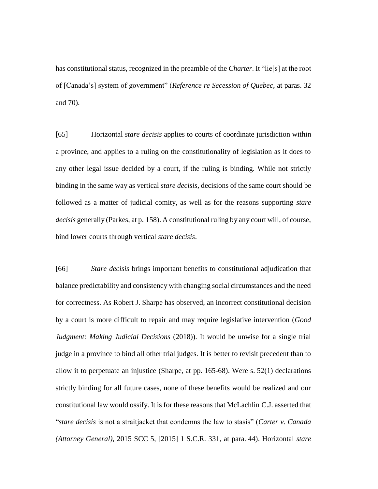has constitutional status, recognized in the preamble of the *Charter*. It "lie[s] at the root of [Canada's] system of government" (*Reference re Secession of Quebec*, at paras. 32 and 70).

[65] Horizontal *stare decisis* applies to courts of coordinate jurisdiction within a province, and applies to a ruling on the constitutionality of legislation as it does to any other legal issue decided by a court, if the ruling is binding. While not strictly binding in the same way as vertical *stare decisis*, decisions of the same court should be followed as a matter of judicial comity, as well as for the reasons supporting *stare decisis* generally (Parkes, at p. 158). A constitutional ruling by any court will, of course, bind lower courts through vertical *stare decisis*.

[66] *Stare decisis* brings important benefits to constitutional adjudication that balance predictability and consistency with changing social circumstances and the need for correctness. As Robert J. Sharpe has observed, an incorrect constitutional decision by a court is more difficult to repair and may require legislative intervention (*Good Judgment: Making Judicial Decisions* (2018)). It would be unwise for a single trial judge in a province to bind all other trial judges. It is better to revisit precedent than to allow it to perpetuate an injustice (Sharpe, at pp. 165-68). Were s. 52(1) declarations strictly binding for all future cases, none of these benefits would be realized and our constitutional law would ossify. It is for these reasons that McLachlin C.J. asserted that "*stare decisis* is not a straitjacket that condemns the law to stasis" (*Carter v. Canada (Attorney General)*, 2015 SCC 5, [2015] 1 S.C.R. 331, at para. 44). Horizontal *stare*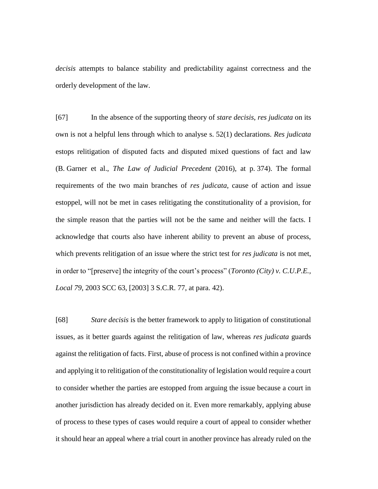*decisis* attempts to balance stability and predictability against correctness and the orderly development of the law.

[67] In the absence of the supporting theory of *stare decisis*, *res judicata* on its own is not a helpful lens through which to analyse s. 52(1) declarations. *Res judicata*  estops relitigation of disputed facts and disputed mixed questions of fact and law (B. Garner et al., *The Law of Judicial Precedent* (2016), at p. 374). The formal requirements of the two main branches of *res judicata*, cause of action and issue estoppel, will not be met in cases relitigating the constitutionality of a provision, for the simple reason that the parties will not be the same and neither will the facts. I acknowledge that courts also have inherent ability to prevent an abuse of process, which prevents relitigation of an issue where the strict test for *res judicata* is not met, in order to "[preserve] the integrity of the court's process" (*Toronto (City) v. C.U.P.E., Local 79*, 2003 SCC 63, [2003] 3 S.C.R. 77, at para. 42).

[68] *Stare decisis* is the better framework to apply to litigation of constitutional issues, as it better guards against the relitigation of law, whereas *res judicata* guards against the relitigation of facts. First, abuse of process is not confined within a province and applying it to relitigation of the constitutionality of legislation would require a court to consider whether the parties are estopped from arguing the issue because a court in another jurisdiction has already decided on it. Even more remarkably, applying abuse of process to these types of cases would require a court of appeal to consider whether it should hear an appeal where a trial court in another province has already ruled on the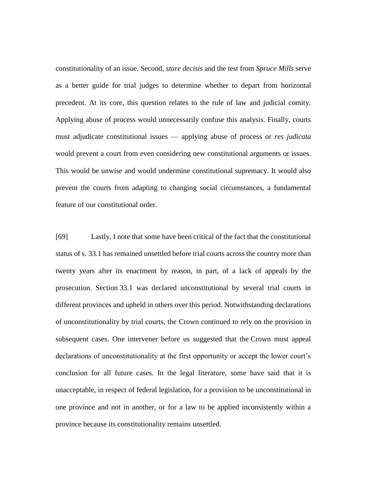constitutionality of an issue. Second, *stare decisis* and the test from *Spruce Mills* serve as a better guide for trial judges to determine whether to depart from horizontal precedent. At its core, this question relates to the rule of law and judicial comity. Applying abuse of process would unnecessarily confuse this analysis. Finally, courts must adjudicate constitutional issues — applying abuse of process or *res judicata*  would prevent a court from even considering new constitutional arguments or issues. This would be unwise and would undermine constitutional supremacy. It would also prevent the courts from adapting to changing social circumstances, a fundamental feature of our constitutional order.

[69] Lastly, I note that some have been critical of the fact that the constitutional status of s. 33.1 has remained unsettled before trial courts across the country more than twenty years after its enactment by reason, in part, of a lack of appeals by the prosecution. Section 33.1 was declared unconstitutional by several trial courts in different provinces and upheld in others over this period. Notwithstanding declarations of unconstitutionality by trial courts, the Crown continued to rely on the provision in subsequent cases. One intervener before us suggested that the Crown must appeal declarations of unconstitutionality at the first opportunity or accept the lower court's conclusion for all future cases. In the legal literature, some have said that it is unacceptable, in respect of federal legislation, for a provision to be unconstitutional in one province and not in another, or for a law to be applied inconsistently within a province because its constitutionality remains unsettled.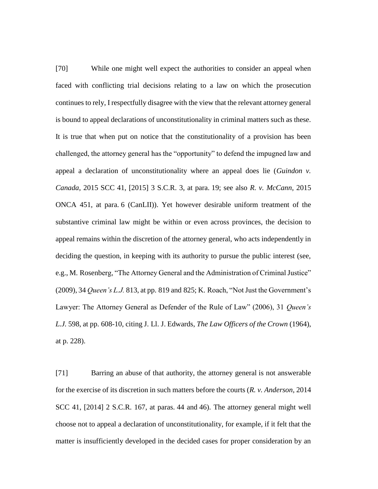[70] While one might well expect the authorities to consider an appeal when faced with conflicting trial decisions relating to a law on which the prosecution continues to rely, I respectfully disagree with the view that the relevant attorney general is bound to appeal declarations of unconstitutionality in criminal matters such as these. It is true that when put on notice that the constitutionality of a provision has been challenged, the attorney general has the "opportunity" to defend the impugned law and appeal a declaration of unconstitutionality where an appeal does lie (*Guindon v. Canada*, 2015 SCC 41, [2015] 3 S.C.R. 3, at para. 19; see also *R. v. McCann*, 2015 ONCA 451, at para. 6 (CanLII)). Yet however desirable uniform treatment of the substantive criminal law might be within or even across provinces, the decision to appeal remains within the discretion of the attorney general, who acts independently in deciding the question, in keeping with its authority to pursue the public interest (see, e.g., M. Rosenberg, "The Attorney General and the Administration of Criminal Justice" (2009), 34 *Queen's L.J.* 813, at pp. 819 and 825; K. Roach, "Not Just the Government's Lawyer: The Attorney General as Defender of the Rule of Law" (2006), 31 *Queen's L.J.* 598, at pp. 608-10, citing J. Ll. J. Edwards, *The Law Officers of the Crown* (1964), at p. 228).

[71] Barring an abuse of that authority, the attorney general is not answerable for the exercise of its discretion in such matters before the courts (*R. v. Anderson*, 2014 SCC 41, [2014] 2 S.C.R. 167, at paras. 44 and 46). The attorney general might well choose not to appeal a declaration of unconstitutionality, for example, if it felt that the matter is insufficiently developed in the decided cases for proper consideration by an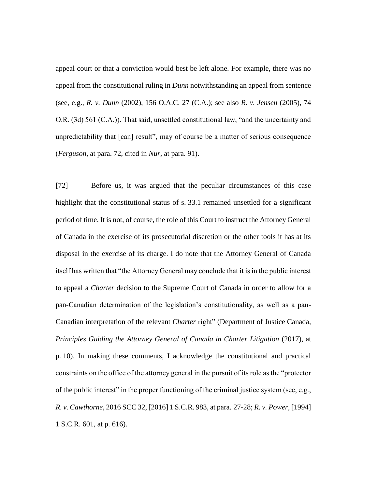appeal court or that a conviction would best be left alone. For example, there was no appeal from the constitutional ruling in *Dunn* notwithstanding an appeal from sentence (see, e.g., *R. v. Dunn* (2002), 156 O.A.C. 27 (C.A.); see also *R. v. Jensen* (2005), 74 O.R. (3d) 561 (C.A.)). That said, unsettled constitutional law, "and the uncertainty and unpredictability that [can] result", may of course be a matter of serious consequence (*Ferguson*, at para. 72, cited in *Nur*, at para. 91).

[72] Before us, it was argued that the peculiar circumstances of this case highlight that the constitutional status of s. 33.1 remained unsettled for a significant period of time. It is not, of course, the role of this Court to instruct the Attorney General of Canada in the exercise of its prosecutorial discretion or the other tools it has at its disposal in the exercise of its charge. I do note that the Attorney General of Canada itself has written that "the Attorney General may conclude that it is in the public interest to appeal a *Charter* decision to the Supreme Court of Canada in order to allow for a pan-Canadian determination of the legislation's constitutionality, as well as a pan-Canadian interpretation of the relevant *Charter* right" (Department of Justice Canada, *Principles Guiding the Attorney General of Canada in Charter Litigation* (2017), at p. 10). In making these comments, I acknowledge the constitutional and practical constraints on the office of the attorney general in the pursuit of its role as the "protector of the public interest" in the proper functioning of the criminal justice system (see, e.g., *R. v. Cawthorne*, 2016 SCC 32, [2016] 1 S.C.R. 983, at para. 27-28; *R. v. Power*, [1994] 1 S.C.R. 601, at p. 616).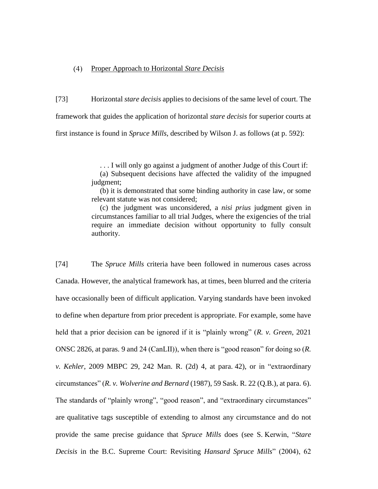# Proper Approach to Horizontal *Stare Decisis*

[73] Horizontal *stare decisis* applies to decisions of the same level of court. The framework that guides the application of horizontal *stare decisis* for superior courts at first instance is found in *Spruce Mills*, described by Wilson J. as follows (at p. 592):

. . . I will only go against a judgment of another Judge of this Court if:

(a) Subsequent decisions have affected the validity of the impugned judgment;

(b) it is demonstrated that some binding authority in case law, or some relevant statute was not considered;

(c) the judgment was unconsidered, a *nisi prius* judgment given in circumstances familiar to all trial Judges, where the exigencies of the trial require an immediate decision without opportunity to fully consult authority.

[74] The *Spruce Mills* criteria have been followed in numerous cases across Canada. However, the analytical framework has, at times, been blurred and the criteria have occasionally been of difficult application. Varying standards have been invoked to define when departure from prior precedent is appropriate. For example, some have held that a prior decision can be ignored if it is "plainly wrong" (*R. v. Green*, 2021 ONSC 2826, at paras. 9 and 24 (CanLII)), when there is "good reason" for doing so (*R. v. Kehler*, 2009 MBPC 29, 242 Man. R. (2d) 4, at para. 42), or in "extraordinary circumstances" (*R. v. Wolverine and Bernard* (1987), 59 Sask. R. 22 (Q.B.), at para. 6). The standards of "plainly wrong", "good reason", and "extraordinary circumstances" are qualitative tags susceptible of extending to almost any circumstance and do not provide the same precise guidance that *Spruce Mills* does (see S. Kerwin, "*Stare Decisis* in the B.C. Supreme Court: Revisiting *Hansard Spruce Mills*" (2004), 62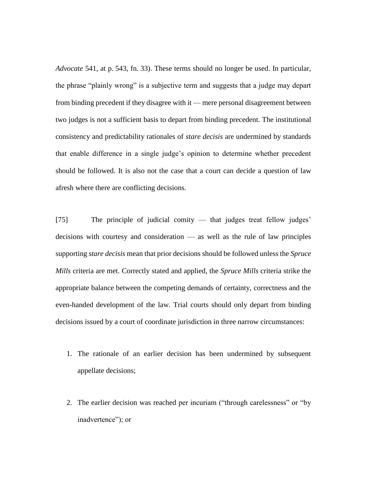*Advocate* 541, at p. 543, fn. 33). These terms should no longer be used. In particular, the phrase "plainly wrong" is a subjective term and suggests that a judge may depart from binding precedent if they disagree with it — mere personal disagreement between two judges is not a sufficient basis to depart from binding precedent. The institutional consistency and predictability rationales of *stare decisis* are undermined by standards that enable difference in a single judge's opinion to determine whether precedent should be followed. It is also not the case that a court can decide a question of law afresh where there are conflicting decisions.

[75] The principle of judicial comity — that judges treat fellow judges' decisions with courtesy and consideration — as well as the rule of law principles supporting *stare decisis* mean that prior decisions should be followed unless the *Spruce Mills* criteria are met. Correctly stated and applied, the *Spruce Mills* criteria strike the appropriate balance between the competing demands of certainty, correctness and the even-handed development of the law. Trial courts should only depart from binding decisions issued by a court of coordinate jurisdiction in three narrow circumstances:

- 1. The rationale of an earlier decision has been undermined by subsequent appellate decisions;
- 2. The earlier decision was reached per incuriam ("through carelessness" or "by inadvertence"); or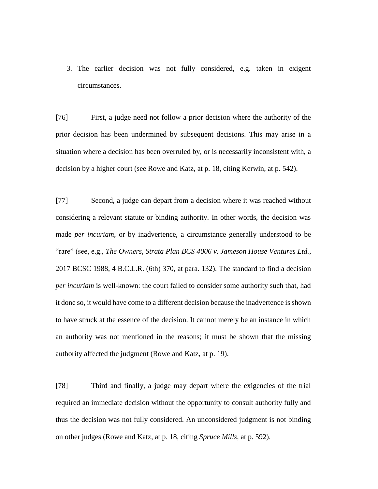3. The earlier decision was not fully considered, e.g. taken in exigent circumstances.

[76] First, a judge need not follow a prior decision where the authority of the prior decision has been undermined by subsequent decisions. This may arise in a situation where a decision has been overruled by, or is necessarily inconsistent with, a decision by a higher court (see Rowe and Katz, at p. 18, citing Kerwin, at p. 542).

[77] Second, a judge can depart from a decision where it was reached without considering a relevant statute or binding authority. In other words, the decision was made *per incuriam*, or by inadvertence, a circumstance generally understood to be "rare" (see, e.g., *The Owners, Strata Plan BCS 4006 v. Jameson House Ventures Ltd.*, 2017 BCSC 1988, 4 B.C.L.R. (6th) 370, at para. 132). The standard to find a decision *per incuriam* is well-known: the court failed to consider some authority such that, had it done so, it would have come to a different decision because the inadvertence is shown to have struck at the essence of the decision. It cannot merely be an instance in which an authority was not mentioned in the reasons; it must be shown that the missing authority affected the judgment (Rowe and Katz, at p. 19).

[78] Third and finally, a judge may depart where the exigencies of the trial required an immediate decision without the opportunity to consult authority fully and thus the decision was not fully considered. An unconsidered judgment is not binding on other judges (Rowe and Katz, at p. 18, citing *Spruce Mills*, at p. 592).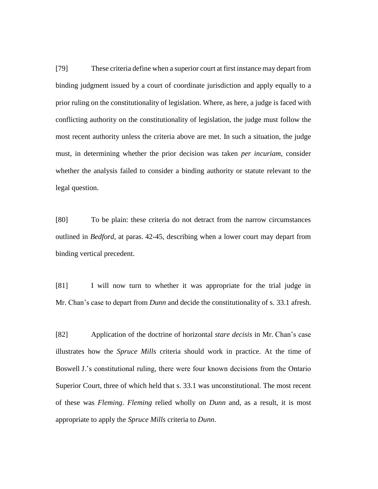[79] These criteria define when a superior court at first instance may depart from binding judgment issued by a court of coordinate jurisdiction and apply equally to a prior ruling on the constitutionality of legislation. Where, as here, a judge is faced with conflicting authority on the constitutionality of legislation, the judge must follow the most recent authority unless the criteria above are met. In such a situation, the judge must, in determining whether the prior decision was taken *per incuriam*, consider whether the analysis failed to consider a binding authority or statute relevant to the legal question.

[80] To be plain: these criteria do not detract from the narrow circumstances outlined in *Bedford*, at paras. 42-45, describing when a lower court may depart from binding vertical precedent.

[81] I will now turn to whether it was appropriate for the trial judge in Mr. Chan's case to depart from *Dunn* and decide the constitutionality of s. 33.1 afresh.

[82] Application of the doctrine of horizontal *stare decisis* in Mr. Chan's case illustrates how the *Spruce Mills* criteria should work in practice. At the time of Boswell J.'s constitutional ruling, there were four known decisions from the Ontario Superior Court, three of which held that s. 33.1 was unconstitutional. The most recent of these was *Fleming*. *Fleming* relied wholly on *Dunn* and, as a result, it is most appropriate to apply the *Spruce Mills* criteria to *Dunn*.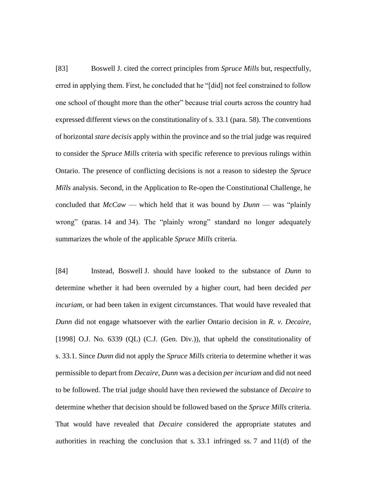[83] Boswell J. cited the correct principles from *Spruce Mills* but, respectfully, erred in applying them. First, he concluded that he "[did] not feel constrained to follow one school of thought more than the other" because trial courts across the country had expressed different views on the constitutionality of s. 33.1 (para. 58). The conventions of horizontal *stare decisis* apply within the province and so the trial judge was required to consider the *Spruce Mills* criteria with specific reference to previous rulings within Ontario. The presence of conflicting decisions is not a reason to sidestep the *Spruce Mills* analysis. Second, in the Application to Re-open the Constitutional Challenge, he concluded that *McCaw* — which held that it was bound by *Dunn* — was "plainly wrong" (paras. 14 and 34). The "plainly wrong" standard no longer adequately summarizes the whole of the applicable *Spruce Mills* criteria.

[84] Instead, Boswell J. should have looked to the substance of *Dunn* to determine whether it had been overruled by a higher court, had been decided *per incuriam*, or had been taken in exigent circumstances. That would have revealed that *Dunn* did not engage whatsoever with the earlier Ontario decision in *R. v. Decaire*, [1998] O.J. No. 6339 (QL) (C.J. (Gen. Div.)), that upheld the constitutionality of s. 33.1. Since *Dunn* did not apply the *Spruce Mills* criteria to determine whether it was permissible to depart from *Decaire*, *Dunn* was a decision *per incuriam* and did not need to be followed. The trial judge should have then reviewed the substance of *Decaire* to determine whether that decision should be followed based on the *Spruce Mills* criteria. That would have revealed that *Decaire* considered the appropriate statutes and authorities in reaching the conclusion that s. 33.1 infringed ss. 7 and 11(d) of the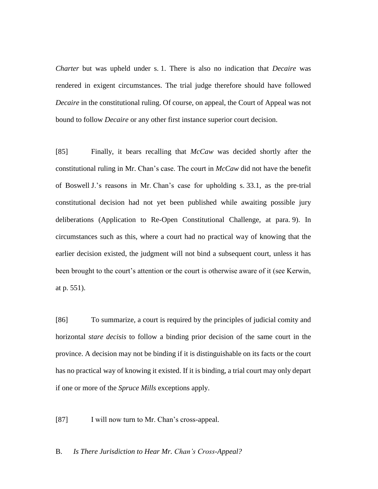*Charter* but was upheld under s. 1. There is also no indication that *Decaire* was rendered in exigent circumstances. The trial judge therefore should have followed *Decaire* in the constitutional ruling. Of course, on appeal, the Court of Appeal was not bound to follow *Decaire* or any other first instance superior court decision.

[85] Finally, it bears recalling that *McCaw* was decided shortly after the constitutional ruling in Mr. Chan's case. The court in *McCaw* did not have the benefit of Boswell J.'s reasons in Mr. Chan's case for upholding s. 33.1, as the pre-trial constitutional decision had not yet been published while awaiting possible jury deliberations (Application to Re-Open Constitutional Challenge, at para. 9). In circumstances such as this, where a court had no practical way of knowing that the earlier decision existed, the judgment will not bind a subsequent court, unless it has been brought to the court's attention or the court is otherwise aware of it (see Kerwin, at p. 551).

[86] To summarize, a court is required by the principles of judicial comity and horizontal *stare decisis* to follow a binding prior decision of the same court in the province. A decision may not be binding if it is distinguishable on its facts or the court has no practical way of knowing it existed. If it is binding, a trial court may only depart if one or more of the *Spruce Mills* exceptions apply.

[87] I will now turn to Mr. Chan's cross-appeal.

B. *Is There Jurisdiction to Hear Mr. Chan's Cross-Appeal?*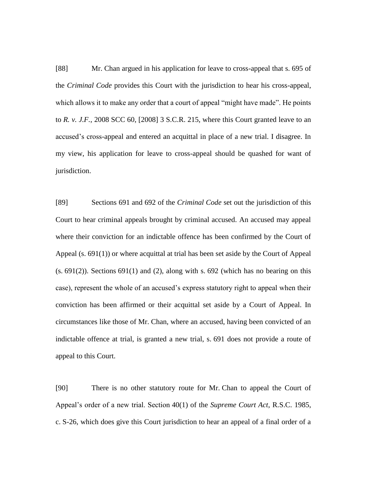[88] Mr. Chan argued in his application for leave to cross-appeal that s. 695 of the *Criminal Code* provides this Court with the jurisdiction to hear his cross-appeal, which allows it to make any order that a court of appeal "might have made". He points to *R. v. J.F.*, 2008 SCC 60, [2008] 3 S.C.R. 215, where this Court granted leave to an accused's cross-appeal and entered an acquittal in place of a new trial. I disagree. In my view, his application for leave to cross-appeal should be quashed for want of jurisdiction.

[89] Sections 691 and 692 of the *Criminal Code* set out the jurisdiction of this Court to hear criminal appeals brought by criminal accused. An accused may appeal where their conviction for an indictable offence has been confirmed by the Court of Appeal (s. 691(1)) or where acquittal at trial has been set aside by the Court of Appeal  $(s. 691(2))$ . Sections 691(1) and (2), along with s. 692 (which has no bearing on this case), represent the whole of an accused's express statutory right to appeal when their conviction has been affirmed or their acquittal set aside by a Court of Appeal. In circumstances like those of Mr. Chan, where an accused, having been convicted of an indictable offence at trial, is granted a new trial, s. 691 does not provide a route of appeal to this Court.

[90] There is no other statutory route for Mr. Chan to appeal the Court of Appeal's order of a new trial. Section 40(1) of the *Supreme Court Act*, R.S.C. 1985, c. S-26, which does give this Court jurisdiction to hear an appeal of a final order of a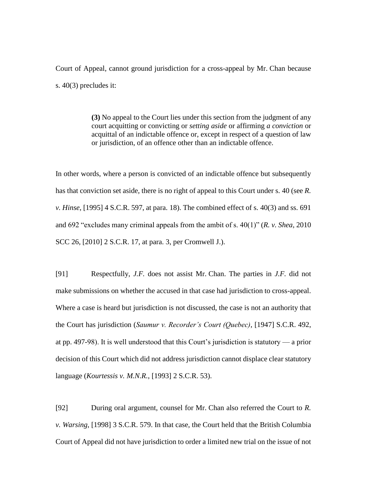Court of Appeal, cannot ground jurisdiction for a cross-appeal by Mr. Chan because s. 40(3) precludes it:

> **(3)** No appeal to the Court lies under this section from the judgment of any court acquitting or convicting or *setting aside* or affirming *a conviction* or acquittal of an indictable offence or, except in respect of a question of law or jurisdiction, of an offence other than an indictable offence.

In other words, where a person is convicted of an indictable offence but subsequently has that conviction set aside, there is no right of appeal to this Court under s. 40 (see *R. v. Hinse*, [1995] 4 S.C.R. 597, at para. 18). The combined effect of s. 40(3) and ss. 691 and 692 "excludes many criminal appeals from the ambit of s. 40(1)" (*R. v. Shea*, 2010 SCC 26, [2010] 2 S.C.R. 17, at para. 3, per Cromwell J.).

[91] Respectfully, *J.F.* does not assist Mr. Chan. The parties in *J.F.* did not make submissions on whether the accused in that case had jurisdiction to cross-appeal. Where a case is heard but jurisdiction is not discussed, the case is not an authority that the Court has jurisdiction (*Saumur v. Recorder's Court (Quebec)*, [1947] S.C.R. 492, at pp. 497-98). It is well understood that this Court's jurisdiction is statutory — a prior decision of this Court which did not address jurisdiction cannot displace clear statutory language (*Kourtessis v. M.N.R.*, [1993] 2 S.C.R. 53).

[92] During oral argument, counsel for Mr. Chan also referred the Court to *R. v. Warsing*, [1998] 3 S.C.R. 579. In that case, the Court held that the British Columbia Court of Appeal did not have jurisdiction to order a limited new trial on the issue of not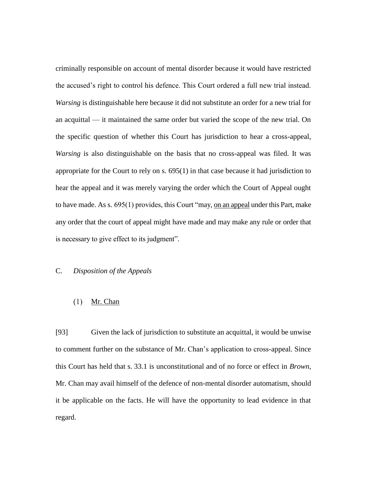criminally responsible on account of mental disorder because it would have restricted the accused's right to control his defence. This Court ordered a full new trial instead. *Warsing* is distinguishable here because it did not substitute an order for a new trial for an acquittal — it maintained the same order but varied the scope of the new trial. On the specific question of whether this Court has jurisdiction to hear a cross-appeal, *Warsing* is also distinguishable on the basis that no cross-appeal was filed. It was appropriate for the Court to rely on s. 695(1) in that case because it had jurisdiction to hear the appeal and it was merely varying the order which the Court of Appeal ought to have made. As s. 695(1) provides, this Court "may, on an appeal under this Part, make any order that the court of appeal might have made and may make any rule or order that is necessary to give effect to its judgment".

# C. *Disposition of the Appeals*

#### $(1)$ Mr. Chan

[93] Given the lack of jurisdiction to substitute an acquittal, it would be unwise to comment further on the substance of Mr. Chan's application to cross-appeal. Since this Court has held that s. 33.1 is unconstitutional and of no force or effect in *Brown*, Mr. Chan may avail himself of the defence of non-mental disorder automatism, should it be applicable on the facts. He will have the opportunity to lead evidence in that regard.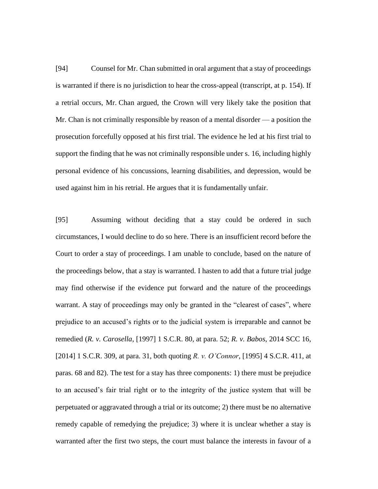[94] Counsel for Mr. Chan submitted in oral argument that a stay of proceedings is warranted if there is no jurisdiction to hear the cross-appeal (transcript, at p. 154). If a retrial occurs, Mr. Chan argued, the Crown will very likely take the position that Mr. Chan is not criminally responsible by reason of a mental disorder — a position the prosecution forcefully opposed at his first trial. The evidence he led at his first trial to support the finding that he was not criminally responsible under s. 16, including highly personal evidence of his concussions, learning disabilities, and depression, would be used against him in his retrial. He argues that it is fundamentally unfair.

[95] Assuming without deciding that a stay could be ordered in such circumstances, I would decline to do so here. There is an insufficient record before the Court to order a stay of proceedings. I am unable to conclude, based on the nature of the proceedings below, that a stay is warranted. I hasten to add that a future trial judge may find otherwise if the evidence put forward and the nature of the proceedings warrant. A stay of proceedings may only be granted in the "clearest of cases", where prejudice to an accused's rights or to the judicial system is irreparable and cannot be remedied (*R. v. Carosella*, [1997] 1 S.C.R. 80, at para. 52; *R. v. Babos*, 2014 SCC 16, [2014] 1 S.C.R. 309, at para. 31, both quoting *R. v. O'Connor*, [1995] 4 S.C.R. 411, at paras. 68 and 82). The test for a stay has three components: 1) there must be prejudice to an accused's fair trial right or to the integrity of the justice system that will be perpetuated or aggravated through a trial or its outcome; 2) there must be no alternative remedy capable of remedying the prejudice; 3) where it is unclear whether a stay is warranted after the first two steps, the court must balance the interests in favour of a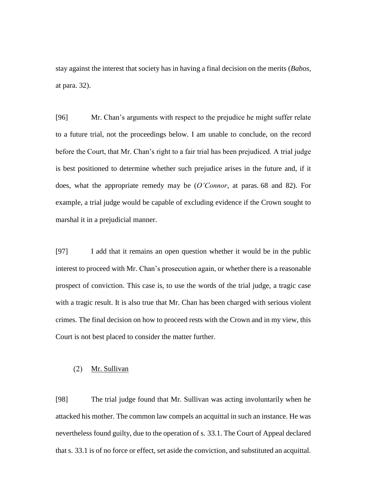stay against the interest that society has in having a final decision on the merits (*Babos*, at para. 32).

[96] Mr. Chan's arguments with respect to the prejudice he might suffer relate to a future trial, not the proceedings below. I am unable to conclude, on the record before the Court, that Mr. Chan's right to a fair trial has been prejudiced. A trial judge is best positioned to determine whether such prejudice arises in the future and, if it does, what the appropriate remedy may be (*O'Connor*, at paras. 68 and 82). For example, a trial judge would be capable of excluding evidence if the Crown sought to marshal it in a prejudicial manner.

[97] I add that it remains an open question whether it would be in the public interest to proceed with Mr. Chan's prosecution again, or whether there is a reasonable prospect of conviction. This case is, to use the words of the trial judge, a tragic case with a tragic result. It is also true that Mr. Chan has been charged with serious violent crimes. The final decision on how to proceed rests with the Crown and in my view, this Court is not best placed to consider the matter further.

#### $(2)$ Mr. Sullivan

[98] The trial judge found that Mr. Sullivan was acting involuntarily when he attacked his mother. The common law compels an acquittal in such an instance. He was nevertheless found guilty, due to the operation of s. 33.1. The Court of Appeal declared that s. 33.1 is of no force or effect, set aside the conviction, and substituted an acquittal.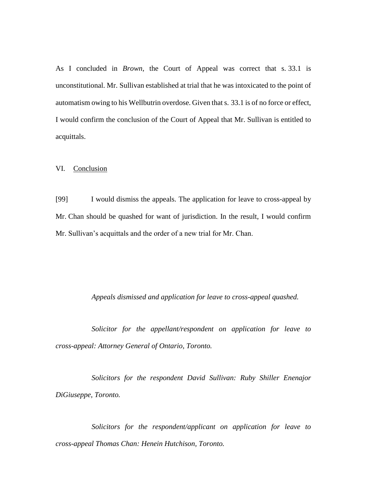As I concluded in *Brown*, the Court of Appeal was correct that s. 33.1 is unconstitutional. Mr. Sullivan established at trial that he was intoxicated to the point of automatism owing to his Wellbutrin overdose. Given that s. 33.1 is of no force or effect, I would confirm the conclusion of the Court of Appeal that Mr. Sullivan is entitled to acquittals.

### VI. Conclusion

[99] I would dismiss the appeals. The application for leave to cross-appeal by Mr. Chan should be quashed for want of jurisdiction. In the result, I would confirm Mr. Sullivan's acquittals and the order of a new trial for Mr. Chan.

### *Appeals dismissed and application for leave to cross-appeal quashed.*

*Solicitor for the appellant/respondent on application for leave to cross-appeal: Attorney General of Ontario, Toronto.*

*Solicitors for the respondent David Sullivan: Ruby Shiller Enenajor DiGiuseppe, Toronto.*

*Solicitors for the respondent/applicant on application for leave to cross-appeal Thomas Chan: Henein Hutchison, Toronto.*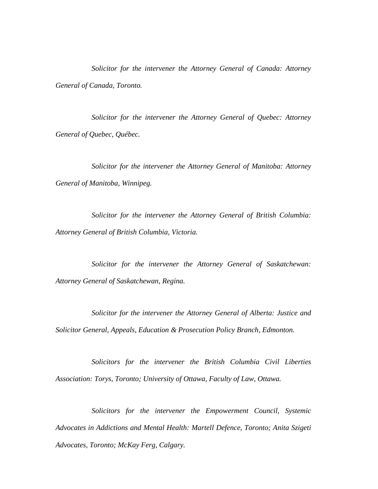*Solicitor for the intervener the Attorney General of Canada: Attorney General of Canada, Toronto.*

*Solicitor for the intervener the Attorney General of Quebec: Attorney General of Quebec, Québec.*

*Solicitor for the intervener the Attorney General of Manitoba: Attorney General of Manitoba, Winnipeg.*

*Solicitor for the intervener the Attorney General of British Columbia: Attorney General of British Columbia, Victoria.*

*Solicitor for the intervener the Attorney General of Saskatchewan: Attorney General of Saskatchewan, Regina.*

*Solicitor for the intervener the Attorney General of Alberta: Justice and Solicitor General, Appeals, Education & Prosecution Policy Branch, Edmonton.*

*Solicitors for the intervener the British Columbia Civil Liberties Association: Torys, Toronto; University of Ottawa, Faculty of Law, Ottawa.*

*Solicitors for the intervener the Empowerment Council, Systemic Advocates in Addictions and Mental Health: Martell Defence, Toronto; Anita Szigeti Advocates, Toronto; McKay Ferg, Calgary.*